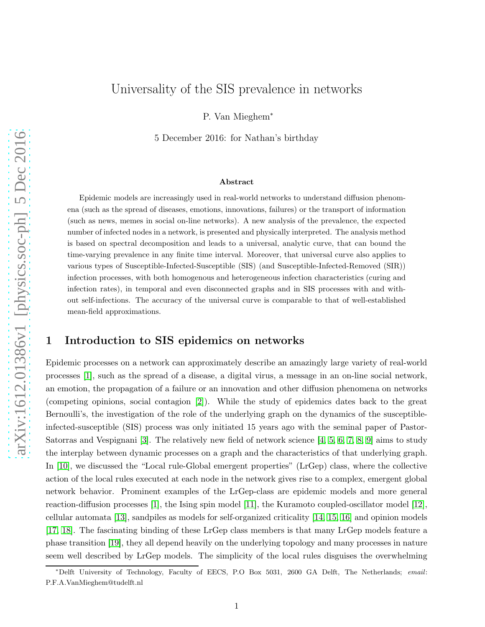# Universality of the SIS prevalence in networks

P. Van Mieghem<sup>∗</sup>

5 December 2016: for Nathan's birthday

#### Abstract

Epidemic models are increasingly used in real-world networks to understand diffusion phenomena (such as the spread of diseases, emotions, innovations, failures) or the transport of information (such as news, memes in social on-line networks). A new analysis of the prevalence, the expected number of infected nodes in a network, is presented and physically interpreted. The analysis method is based on spectral decomposition and leads to a universal, analytic curve, that can bound the time-varying prevalence in any finite time interval. Moreover, that universal curve also applies to various types of Susceptible-Infected-Susceptible (SIS) (and Susceptible-Infected-Removed (SIR)) infection processes, with both homogenous and heterogeneous infection characteristics (curing and infection rates), in temporal and even disconnected graphs and in SIS processes with and without self-infections. The accuracy of the universal curve is comparable to that of well-established mean-field approximations.

## 1 Introduction to SIS epidemics on networks

Epidemic processes on a network can approximately describe an amazingly large variety of real-world processes [\[1\]](#page-8-0), such as the spread of a disease, a digital virus, a message in an on-line social network, an emotion, the propagation of a failure or an innovation and other diffusion phenomena on networks (competing opinions, social contagion [\[2\]](#page-8-1)). While the study of epidemics dates back to the great Bernoulli's, the investigation of the role of the underlying graph on the dynamics of the susceptibleinfected-susceptible (SIS) process was only initiated 15 years ago with the seminal paper of Pastor-Satorras and Vespignani [\[3\]](#page-8-2). The relatively new field of network science  $[4, 5, 6, 7, 8, 9]$  $[4, 5, 6, 7, 8, 9]$  $[4, 5, 6, 7, 8, 9]$  $[4, 5, 6, 7, 8, 9]$  $[4, 5, 6, 7, 8, 9]$  $[4, 5, 6, 7, 8, 9]$  aims to study the interplay between dynamic processes on a graph and the characteristics of that underlying graph. In [\[10\]](#page-8-9), we discussed the "Local rule-Global emergent properties" (LrGep) class, where the collective action of the local rules executed at each node in the network gives rise to a complex, emergent global network behavior. Prominent examples of the LrGep-class are epidemic models and more general reaction-diffusion processes [\[1\]](#page-8-0), the Ising spin model [\[11\]](#page-8-10), the Kuramoto coupled-oscillator model [\[12\]](#page-8-11), cellular automata [\[13\]](#page-8-12), sandpiles as models for self-organized criticality [\[14,](#page-8-13) [15,](#page-8-14) [16\]](#page-8-15) and opinion models [\[17,](#page-8-16) [18\]](#page-8-17). The fascinating binding of these LrGep class members is that many LrGep models feature a phase transition [\[19\]](#page-8-18), they all depend heavily on the underlying topology and many processes in nature seem well described by LrGep models. The simplicity of the local rules disguises the overwhelming

<sup>∗</sup>Delft University of Technology, Faculty of EECS, P.O Box 5031, 2600 GA Delft, The Netherlands; *email*: P.F.A.VanMieghem@tudelft.nl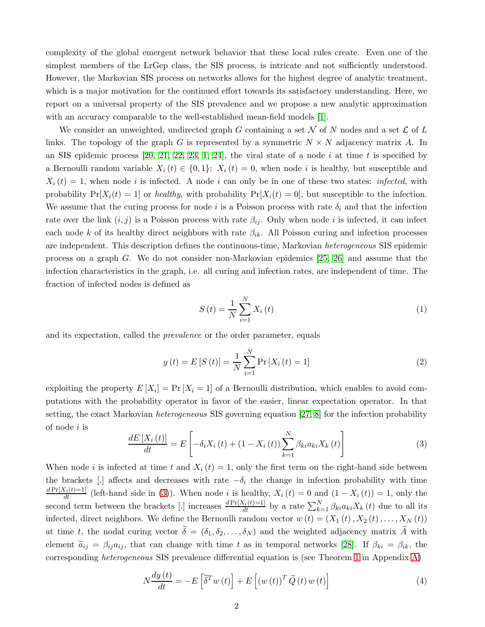complexity of the global emergent network behavior that these local rules create. Even one of the simplest members of the LrGep class, the SIS process, is intricate and not sufficiently understood. However, the Markovian SIS process on networks allows for the highest degree of analytic treatment, which is a major motivation for the continued effort towards its satisfactory understanding. Here, we report on a universal property of the SIS prevalence and we propose a new analytic approximation with an accuracy comparable to the well-established mean-field models [\[1\]](#page-8-0).

We consider an unweighted, undirected graph G containing a set N of N nodes and a set  $\mathcal L$  of L links. The topology of the graph G is represented by a symmetric  $N \times N$  adjacency matrix A. In an SIS epidemic process  $[20, 21, 22, 23, 1, 24]$  $[20, 21, 22, 23, 1, 24]$  $[20, 21, 22, 23, 1, 24]$  $[20, 21, 22, 23, 1, 24]$  $[20, 21, 22, 23, 1, 24]$  $[20, 21, 22, 23, 1, 24]$ , the viral state of a node i at time t is specified by a Bernoulli random variable  $X_i(t) \in \{0,1\}$ :  $X_i(t) = 0$ , when node i is healthy, but susceptible and  $X_i(t) = 1$ , when node i is infected. A node i can only be in one of these two states: infected, with probability  $Pr[X_i(t) = 1]$  or healthy, with probability  $Pr[X_i(t) = 0]$ , but susceptible to the infection. We assume that the curing process for node i is a Poisson process with rate  $\delta_i$  and that the infection rate over the link  $(i, j)$  is a Poisson process with rate  $\beta_{ij}$ . Only when node i is infected, it can infect each node k of its healthy direct neighbors with rate  $\beta_{ik}$ . All Poisson curing and infection processes are independent. This description defines the continuous-time, Markovian heterogeneous SIS epidemic process on a graph G. We do not consider non-Markovian epidemics [\[25,](#page-9-4) [26\]](#page-9-5) and assume that the infection characteristics in the graph, i.e. all curing and infection rates, are independent of time. The fraction of infected nodes is defined as

<span id="page-1-3"></span>
$$
S(t) = \frac{1}{N} \sum_{i=1}^{N} X_i(t)
$$
\n(1)

and its expectation, called the prevalence or the order parameter, equals

<span id="page-1-2"></span>
$$
y(t) = E[S(t)] = \frac{1}{N} \sum_{i=1}^{N} \Pr[X_i(t) = 1]
$$
\n(2)

exploiting the property  $E[X_i] = Pr[X_i = 1]$  of a Bernoulli distribution, which enables to avoid computations with the probability operator in favor of the easier, linear expectation operator. In that setting, the exact Markovian heterogeneous SIS governing equation [\[27,](#page-9-6) [8\]](#page-8-7) for the infection probability of node i is

<span id="page-1-0"></span>
$$
\frac{dE\left[X_{i}\left(t\right)\right]}{dt} = E\left[-\delta_{i}X_{i}\left(t\right) + \left(1 - X_{i}\left(t\right)\right)\sum_{k=1}^{N}\beta_{ki}a_{ki}X_{k}\left(t\right)\right]\tag{3}
$$

When node i is infected at time t and  $X_i(t) = 1$ , only the first term on the right-hand side between the brackets [.] affects and decreases with rate  $-\delta_i$  the change in infection probability with time  $\frac{d \Pr[X_i(t)=1]}{dt}$  (left-hand side in [\(3\)](#page-1-0)). When node i is healthy,  $X_i(t) = 0$  and  $(1 - X_i(t)) = 1$ , only the second term between the brackets [.] increases  $\frac{dPr[X_i(t)=1]}{dt}$  by a rate  $\sum_{k=1}^{N} \beta_{ki} a_{ki} X_k(t)$  due to all its infected, direct neighbors. We define the Bernoulli random vector  $w(t) = (X_1(t), X_2(t), \ldots, X_N(t))$ at time t, the nodal curing vector  $\delta = (\delta_1, \delta_2, \ldots, \delta_N)$  and the weighted adjacency matrix A with element  $\tilde{a}_{ij} = \beta_{ij} a_{ij}$ , that can change with time t as in temporal networks [\[28\]](#page-9-7). If  $\beta_{ki} = \beta_{ik}$ , the corresponding heterogeneous SIS prevalence differential equation is (see Theorem [1](#page-11-0) in Appendix [A\)](#page-11-1)

<span id="page-1-1"></span>
$$
N\frac{dy\left(t\right)}{dt} = -E\left[\tilde{\delta}^T w\left(t\right)\right] + E\left[\left(w\left(t\right)\right)^T \tilde{Q}\left(t\right) w\left(t\right)\right] \tag{4}
$$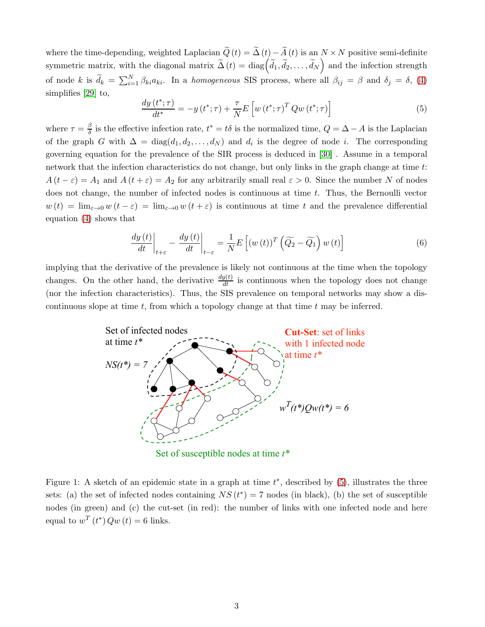where the time-depending, weighted Laplacian  $\widetilde{Q}(t) = \widetilde{\Delta}(t) - \widetilde{A}(t)$  is an  $N \times N$  positive semi-definite symmetric matrix, with the diagonal matrix  $\widetilde{\Delta}(t) = \text{diag}(\widetilde{d}_1, \widetilde{d}_2, \ldots, \widetilde{d}_N)$  and the infection strength of node k is  $\tilde{d}_k = \sum_{i=1}^N \beta_{ki} a_{ki}$ . In a homogeneous SIS process, where all  $\beta_{ij} = \beta$  and  $\delta_j = \delta$ , [\(4\)](#page-1-1) simplifies [\[29\]](#page-9-8) to,

<span id="page-2-0"></span>
$$
\frac{dy\left(t^*;\tau\right)}{dt^*} = -y\left(t^*;\tau\right) + \frac{\tau}{N}E\left[w\left(t^*;\tau\right)^T Q w\left(t^*;\tau\right)\right]
$$
\n<sup>(5)</sup>

where  $\tau = \frac{\beta}{\delta}$  $\frac{\beta}{\delta}$  is the effective infection rate,  $t^* = t\delta$  is the normalized time,  $Q = \Delta - A$  is the Laplacian of the graph G with  $\Delta = \text{diag}(d_1, d_2, \ldots, d_N)$  and  $d_i$  is the degree of node i. The corresponding governing equation for the prevalence of the SIR process is deduced in [\[30\]](#page-9-9) . Assume in a temporal network that the infection characteristics do not change, but only links in the graph change at time t:  $A(t - \varepsilon) = A_1$  and  $A(t + \varepsilon) = A_2$  for any arbitrarily small real  $\varepsilon > 0$ . Since the number N of nodes does not change, the number of infected nodes is continuous at time  $t$ . Thus, the Bernoulli vector  $w(t) = \lim_{\varepsilon \to 0} w(t - \varepsilon) = \lim_{\varepsilon \to 0} w(t + \varepsilon)$  is continuous at time t and the prevalence differential equation [\(4\)](#page-1-1) shows that

<span id="page-2-2"></span>
$$
\frac{dy(t)}{dt}\bigg|_{t+\varepsilon} - \frac{dy(t)}{dt}\bigg|_{t-\varepsilon} = \frac{1}{N}E\left[(w(t))^T\left(\widetilde{Q_2} - \widetilde{Q_1}\right)w(t)\right] \tag{6}
$$

implying that the derivative of the prevalence is likely not continuous at the time when the topology changes. On the other hand, the derivative  $\frac{dy(t)}{dt}$  is continuous when the topology does not change (nor the infection characteristics). Thus, the SIS prevalence on temporal networks may show a discontinuous slope at time  $t$ , from which a topology change at that time  $t$  may be inferred.



Set of susceptible nodes at time *t\**

<span id="page-2-1"></span>Figure 1: A sketch of an epidemic state in a graph at time  $t^*$ , described by  $(5)$ , illustrates the three sets: (a) the set of infected nodes containing  $NS(t^*) = 7$  nodes (in black), (b) the set of susceptible nodes (in green) and (c) the cut-set (in red): the number of links with one infected node and here equal to  $w^T(t^*)$   $Qw(t) = 6$  links.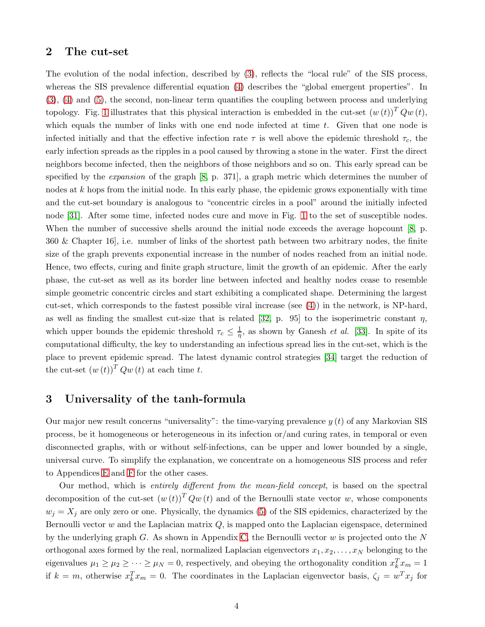### 2 The cut-set

The evolution of the nodal infection, described by [\(3\)](#page-1-0), reflects the "local rule" of the SIS process, whereas the SIS prevalence differential equation [\(4\)](#page-1-1) describes the "global emergent properties". In [\(3\)](#page-1-0), [\(4\)](#page-1-1) and [\(5\)](#page-2-0), the second, non-linear term quantifies the coupling between process and underlying topology. Fig. [1](#page-2-1) illustrates that this physical interaction is embedded in the cut-set  $(w(t))$ <sup>T</sup>  $Qw(t)$ , which equals the number of links with one end node infected at time  $t$ . Given that one node is infected initially and that the effective infection rate  $\tau$  is well above the epidemic threshold  $\tau_c$ , the early infection spreads as the ripples in a pool caused by throwing a stone in the water. First the direct neighbors become infected, then the neighbors of those neighbors and so on. This early spread can be specified by the *expansion* of the graph [\[8,](#page-8-7) p. 371], a graph metric which determines the number of nodes at  $k$  hops from the initial node. In this early phase, the epidemic grows exponentially with time and the cut-set boundary is analogous to "concentric circles in a pool" around the initially infected node [\[31\]](#page-9-10). After some time, infected nodes cure and move in Fig. [1](#page-2-1) to the set of susceptible nodes. When the number of successive shells around the initial node exceeds the average hopcount [\[8,](#page-8-7) p. 360 & Chapter 16], i.e. number of links of the shortest path between two arbitrary nodes, the finite size of the graph prevents exponential increase in the number of nodes reached from an initial node. Hence, two effects, curing and finite graph structure, limit the growth of an epidemic. After the early phase, the cut-set as well as its border line between infected and healthy nodes cease to resemble simple geometric concentric circles and start exhibiting a complicated shape. Determining the largest cut-set, which corresponds to the fastest possible viral increase (see [\(4\)](#page-1-1)) in the network, is NP-hard, as well as finding the smallest cut-size that is related [\[32,](#page-9-11) p. 95] to the isoperimetric constant  $\eta$ , which upper bounds the epidemic threshold  $\tau_c \leq \frac{1}{\eta}$ , as shown by Ganesh *et al.* [\[33\]](#page-9-12). In spite of its computational difficulty, the key to understanding an infectious spread lies in the cut-set, which is the place to prevent epidemic spread. The latest dynamic control strategies [\[34\]](#page-9-13) target the reduction of the cut-set  $(w(t))^T Qw(t)$  at each time t.

### 3 Universality of the tanh-formula

Our major new result concerns "universality": the time-varying prevalence  $y(t)$  of any Markovian SIS process, be it homogeneous or heterogeneous in its infection or/and curing rates, in temporal or even disconnected graphs, with or without self-infections, can be upper and lower bounded by a single, universal curve. To simplify the explanation, we concentrate on a homogeneous SIS process and refer to Appendices [E](#page-19-0) and [F](#page-20-0) for the other cases.

Our method, which is entirely different from the mean-field concept, is based on the spectral decomposition of the cut-set  $(w(t))^T Qw(t)$  and of the Bernoulli state vector w, whose components  $w_j = X_j$  are only zero or one. Physically, the dynamics [\(5\)](#page-2-0) of the SIS epidemics, characterized by the Bernoulli vector w and the Laplacian matrix  $Q$ , is mapped onto the Laplacian eigenspace, determined by the underlying graph  $G$ . As shown in Appendix [C,](#page-14-0) the Bernoulli vector  $w$  is projected onto the  $N$ orthogonal axes formed by the real, normalized Laplacian eigenvectors  $x_1, x_2, \ldots, x_N$  belonging to the eigenvalues  $\mu_1 \ge \mu_2 \ge \cdots \ge \mu_N = 0$ , respectively, and obeying the orthogonality condition  $x_k^T x_m = 1$ if  $k = m$ , otherwise  $x_k^T x_m = 0$ . The coordinates in the Laplacian eigenvector basis,  $\zeta_j = w^T x_j$  for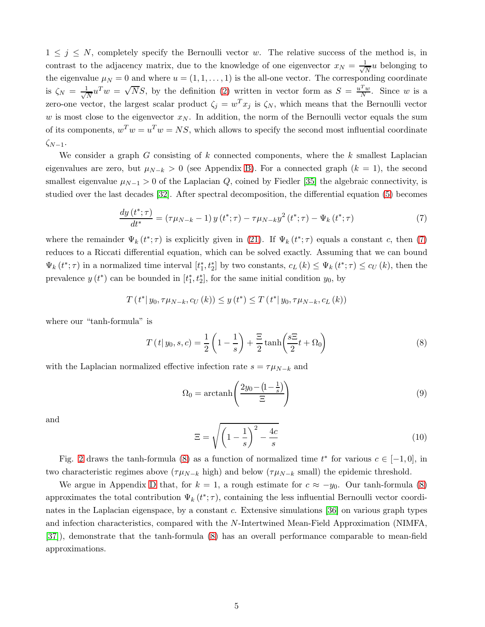$1 \leq j \leq N$ , completely specify the Bernoulli vector w. The relative success of the method is, in contrast to the adjacency matrix, due to the knowledge of one eigenvector  $x_N = \frac{1}{\sqrt{N}}$  $\frac{1}{N}u$  belonging to the eigenvalue  $\mu_N = 0$  and where  $u = (1, 1, \dots, 1)$  is the all-one vector. The corresponding coordinate is  $\zeta_N = \frac{1}{\sqrt{N}}$  $\frac{1}{N}u^Tw = \sqrt{Ns}$ , by the definition [\(2\)](#page-1-2) written in vector form as  $S = \frac{u^Tw}{N}$  $\frac{f(w)}{N}$ . Since w is a zero-one vector, the largest scalar product  $\zeta_j = w^T x_j$  is  $\zeta_N$ , which means that the Bernoulli vector w is most close to the eigenvector  $x_N$ . In addition, the norm of the Bernoulli vector equals the sum of its components,  $w^T w = u^T w = NS$ , which allows to specify the second most influential coordinate  $\zeta_{N-1}$ .

We consider a graph G consisting of k connected components, where the k smallest Laplacian eigenvalues are zero, but  $\mu_{N-k} > 0$  (see Appendix [B\)](#page-12-0). For a connected graph  $(k = 1)$ , the second smallest eigenvalue  $\mu_{N-1} > 0$  of the Laplacian Q, coined by Fiedler [\[35\]](#page-9-14) the algebraic connectivity, is studied over the last decades [\[32\]](#page-9-11). After spectral decomposition, the differential equation [\(5\)](#page-2-0) becomes

<span id="page-4-0"></span>
$$
\frac{dy(t^*; \tau)}{dt^*} = (\tau \mu_{N-k} - 1) y(t^*; \tau) - \tau \mu_{N-k} y^2(t^*; \tau) - \Psi_k(t^*; \tau) \tag{7}
$$

where the remainder  $\Psi_k(t^*; \tau)$  is explicitly given in [\(21\)](#page-17-0). If  $\Psi_k(t^*; \tau)$  equals a constant c, then [\(7\)](#page-4-0) reduces to a Riccati differential equation, which can be solved exactly. Assuming that we can bound  $\Psi_k(t^*; \tau)$  in a normalized time interval  $[t_1^*, t_2^*]$  by two constants,  $c_L(k) \leq \Psi_k(t^*; \tau) \leq c_U(k)$ , then the prevalence  $y(t^*)$  can be bounded in  $[t_1^*, t_2^*]$ , for the same initial condition  $y_0$ , by

$$
T(t^* | y_0, \tau \mu_{N-k}, c_U(k)) \le y(t^*) \le T(t^* | y_0, \tau \mu_{N-k}, c_L(k))
$$

where our "tanh-formula" is

<span id="page-4-1"></span>
$$
T(t|y_0, s, c) = \frac{1}{2} \left( 1 - \frac{1}{s} \right) + \frac{\Xi}{2} \tanh\left(\frac{s\Xi}{2}t + \Omega_0\right)
$$
\n
$$
(8)
$$

with the Laplacian normalized effective infection rate  $s = \tau \mu_{N-k}$  and

$$
\Omega_0 = \operatorname{arctanh}\left(\frac{2y_0 - \left(1 - \frac{1}{s}\right)}{\Xi}\right) \tag{9}
$$

and

<span id="page-4-2"></span>
$$
\Xi = \sqrt{\left(1 - \frac{1}{s}\right)^2 - \frac{4c}{s}}\tag{10}
$$

Fig. [2](#page-5-0) draws the tanh-formula [\(8\)](#page-4-1) as a function of normalized time  $t^*$  for various  $c \in [-1,0]$ , in two characteristic regimes above ( $\tau \mu_{N-k}$  high) and below ( $\tau \mu_{N-k}$  small) the epidemic threshold.

We argue in Appendix [D](#page-17-1) that, for  $k = 1$ , a rough estimate for  $c \approx -y_0$ . Our tanh-formula [\(8\)](#page-4-1) approximates the total contribution  $\Psi_k(t^*; \tau)$ , containing the less influential Bernoulli vector coordinates in the Laplacian eigenspace, by a constant c. Extensive simulations [\[36\]](#page-9-15) on various graph types and infection characteristics, compared with the N-Intertwined Mean-Field Approximation (NIMFA, [\[37\]](#page-9-16)), demonstrate that the tanh-formula [\(8\)](#page-4-1) has an overall performance comparable to mean-field approximations.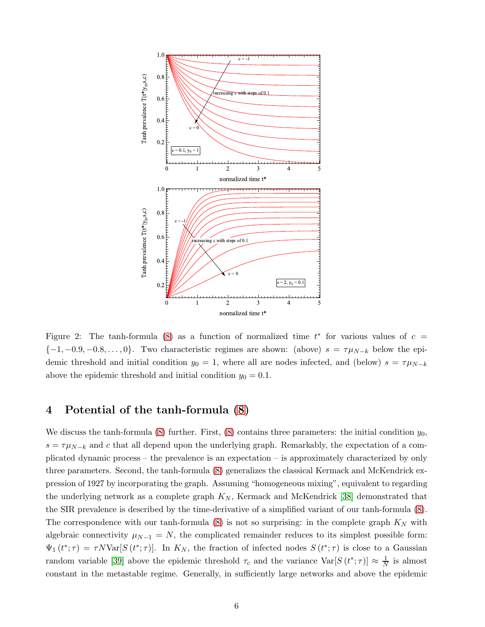

<span id="page-5-0"></span>Figure 2: The tanh-formula [\(8\)](#page-4-1) as a function of normalized time  $t^*$  for various values of  $c =$  ${-1, -0.9, -0.8, \ldots, 0}.$  Two characteristic regimes are shown: (above)  $s = \tau \mu_{N-k}$  below the epidemic threshold and initial condition  $y_0 = 1$ , where all are nodes infected, and (below)  $s = \tau \mu_{N-k}$ above the epidemic threshold and initial condition  $y_0 = 0.1$ .

## 4 Potential of the tanh-formula [\(8\)](#page-4-1)

We discuss the tanh-formula [\(8\)](#page-4-1) further. First, (8) contains three parameters: the initial condition  $y_0$ ,  $s = \tau \mu_{N-k}$  and c that all depend upon the underlying graph. Remarkably, the expectation of a complicated dynamic process – the prevalence is an expectation – is approximately characterized by only three parameters. Second, the tanh-formula [\(8\)](#page-4-1) generalizes the classical Kermack and McKendrick expression of 1927 by incorporating the graph. Assuming "homogeneous mixing", equivalent to regarding the underlying network as a complete graph  $K_N$ , Kermack and McKendrick [\[38\]](#page-9-17) demonstrated that the SIR prevalence is described by the time-derivative of a simplified variant of our tanh-formula [\(8\)](#page-4-1). The correspondence with our tanh-formula  $(8)$  is not so surprising: in the complete graph  $K_N$  with algebraic connectivity  $\mu_{N-1} = N$ , the complicated remainder reduces to its simplest possible form:  $\Psi_1(t^*; \tau) = \tau N \text{Var}[S(t^*; \tau)].$  In  $K_N$ , the fraction of infected nodes  $S(t^*; \tau)$  is close to a Gaussian random variable [\[39\]](#page-9-18) above the epidemic threshold  $\tau_c$  and the variance  $\text{Var}[S(t^*; \tau)] \approx \frac{1}{N}$  is almost constant in the metastable regime. Generally, in sufficiently large networks and above the epidemic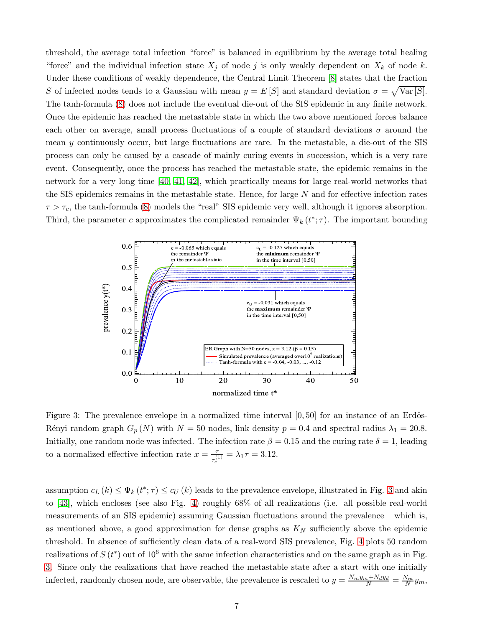threshold, the average total infection "force" is balanced in equilibrium by the average total healing "force" and the individual infection state  $X_j$  of node j is only weakly dependent on  $X_k$  of node k. Under these conditions of weakly dependence, the Central Limit Theorem [\[8\]](#page-8-7) states that the fraction S of infected nodes tends to a Gaussian with mean  $y = E[S]$  and standard deviation  $\sigma = \sqrt{\text{Var}[S]}$ . The tanh-formula [\(8\)](#page-4-1) does not include the eventual die-out of the SIS epidemic in any finite network. Once the epidemic has reached the metastable state in which the two above mentioned forces balance each other on average, small process fluctuations of a couple of standard deviations  $\sigma$  around the mean y continuously occur, but large fluctuations are rare. In the metastable, a die-out of the SIS process can only be caused by a cascade of mainly curing events in succession, which is a very rare event. Consequently, once the process has reached the metastable state, the epidemic remains in the network for a very long time [\[40,](#page-9-19) [41,](#page-9-20) [42\]](#page-9-21), which practically means for large real-world networks that the SIS epidemics remains in the metastable state. Hence, for large  $N$  and for effective infection rates  $\tau > \tau_c$ , the tanh-formula [\(8\)](#page-4-1) models the "real" SIS epidemic very well, although it ignores absorption. Third, the parameter c approximates the complicated remainder  $\Psi_k(t^*; \tau)$ . The important bounding



<span id="page-6-0"></span>Figure 3: The prevalence envelope in a normalized time interval  $[0, 50]$  for an instance of an Erdös-Rényi random graph  $G_p(N)$  with  $N = 50$  nodes, link density  $p = 0.4$  and spectral radius  $\lambda_1 = 20.8$ . Initially, one random node was infected. The infection rate  $\beta = 0.15$  and the curing rate  $\delta = 1$ , leading to a normalized effective infection rate  $x = \frac{7}{6}$  $\frac{\tau}{\tau_c^{(1)}} = \lambda_1 \tau = 3.12.$ 

assumption  $c_L(k) \leq \Psi_k(t^*; \tau) \leq c_U(k)$  leads to the prevalence envelope, illustrated in Fig. [3](#page-6-0) and akin to [\[43\]](#page-9-22), which encloses (see also Fig. [4\)](#page-7-0) roughly 68% of all realizations (i.e. all possible real-world measurements of an SIS epidemic) assuming Gaussian fluctuations around the prevalence – which is, as mentioned above, a good approximation for dense graphs as  $K_N$  sufficiently above the epidemic threshold. In absence of sufficiently clean data of a real-word SIS prevalence, Fig. [4](#page-7-0) plots 50 random realizations of  $S(t^*)$  out of 10<sup>6</sup> with the same infection characteristics and on the same graph as in Fig. [3.](#page-6-0) Since only the realizations that have reached the metastable state after a start with one initially infected, randomly chosen node, are observable, the prevalence is rescaled to  $y = \frac{N_m y_m + N_d y_d}{N} = \frac{N_m}{N} y_m$ ,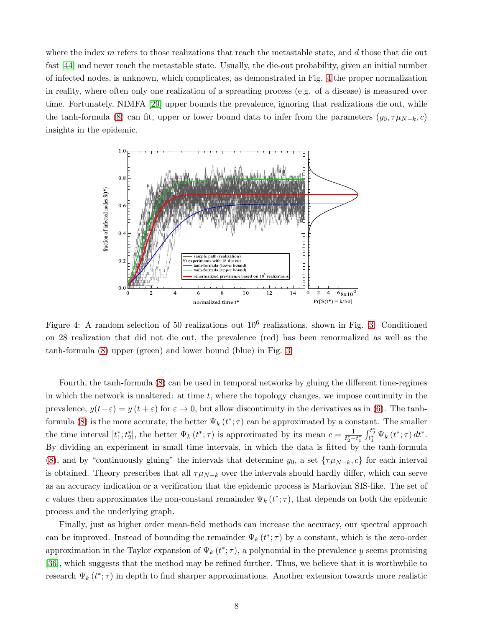where the index  $m$  refers to those realizations that reach the metastable state, and  $d$  those that die out fast [\[44\]](#page-9-23) and never reach the metastable state. Usually, the die-out probability, given an initial number of infected nodes, is unknown, which complicates, as demonstrated in Fig. [4](#page-7-0) the proper normalization in reality, where often only one realization of a spreading process (e.g. of a disease) is measured over time. Fortunately, NIMFA [\[29\]](#page-9-8) upper bounds the prevalence, ignoring that realizations die out, while the tanh-formula [\(8\)](#page-4-1) can fit, upper or lower bound data to infer from the parameters  $(y_0, \tau \mu_{N-k}, c)$ insights in the epidemic.



<span id="page-7-0"></span>Figure 4: A random selection of 50 realizations out  $10^6$  realizations, shown in Fig. [3.](#page-6-0) Conditioned on 28 realization that did not die out, the prevalence (red) has been renormalized as well as the tanh-formula [\(8\)](#page-4-1) upper (green) and lower bound (blue) in Fig. [3](#page-6-0)

Fourth, the tanh-formula [\(8\)](#page-4-1) can be used in temporal networks by gluing the different time-regimes in which the network is unaltered: at time  $t$ , where the topology changes, we impose continuity in the prevalence,  $y(t-\varepsilon) = y(t+\varepsilon)$  for  $\varepsilon \to 0$ , but allow discontinuity in the derivatives as in [\(6\)](#page-2-2). The tanh-formula [\(8\)](#page-4-1) is the more accurate, the better  $\Psi_k(t^*; \tau)$  can be approximated by a constant. The smaller the time interval  $[t_1^*, t_2^*]$ , the better  $\Psi_k(t^*; \tau)$  is approximated by its mean  $c = \frac{1}{t_2^* - t_1^*} \int_{t_1^*}^{t_2^*} \Psi_k(t^*; \tau) dt^*$ . By dividing an experiment in small time intervals, in which the data is fitted by the tanh-formula [\(8\)](#page-4-1), and by "continuously gluing" the intervals that determine  $y_0$ , a set  $\{\tau\mu_{N-k}, c\}$  for each interval is obtained. Theory prescribes that all  $\tau \mu_{N-k}$  over the intervals should hardly differ, which can serve as an accuracy indication or a verification that the epidemic process is Markovian SIS-like. The set of c values then approximates the non-constant remainder  $\Psi_k(t^*; \tau)$ , that depends on both the epidemic process and the underlying graph.

Finally, just as higher order mean-field methods can increase the accuracy, our spectral approach can be improved. Instead of bounding the remainder  $\Psi_k(t^*; \tau)$  by a constant, which is the zero-order approximation in the Taylor expansion of  $\Psi_k(t^*; \tau)$ , a polynomial in the prevalence y seems promising [\[36\]](#page-9-15), which suggests that the method may be refined further. Thus, we believe that it is worthwhile to research  $\Psi_k(t^*; \tau)$  in depth to find sharper approximations. Another extension towards more realistic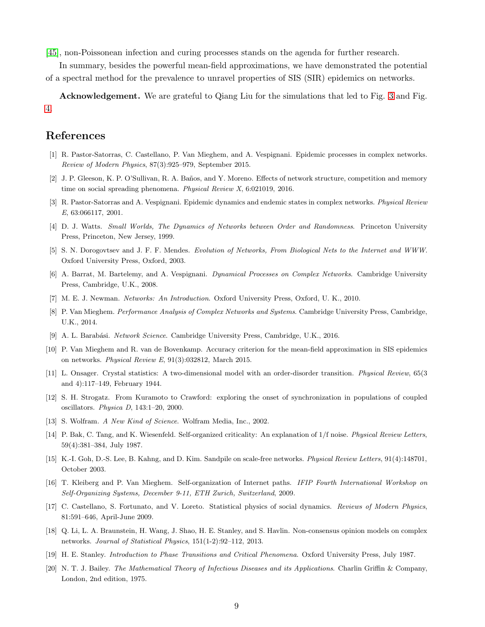[\[45\]](#page-10-0), non-Poissonean infection and curing processes stands on the agenda for further research.

In summary, besides the powerful mean-field approximations, we have demonstrated the potential of a spectral method for the prevalence to unravel properties of SIS (SIR) epidemics on networks.

Acknowledgement. We are grateful to Qiang Liu for the simulations that led to Fig. [3](#page-6-0) and Fig. [4.](#page-7-0)

### <span id="page-8-0"></span>References

- <span id="page-8-1"></span>[1] R. Pastor-Satorras, C. Castellano, P. Van Mieghem, and A. Vespignani. Epidemic processes in complex networks. *Review of Modern Physics*, 87(3):925–979, September 2015.
- <span id="page-8-2"></span>[2] J. P. Gleeson, K. P. O'Sullivan, R. A. Baños, and Y. Moreno. Effects of network structure, competition and memory time on social spreading phenomena. *Physical Review X*, 6:021019, 2016.
- <span id="page-8-3"></span>[3] R. Pastor-Satorras and A. Vespignani. Epidemic dynamics and endemic states in complex networks. *Physical Review E*, 63:066117, 2001.
- <span id="page-8-4"></span>[4] D. J. Watts. *Small Worlds, The Dynamics of Networks between Order and Randomness*. Princeton University Press, Princeton, New Jersey, 1999.
- <span id="page-8-5"></span>[5] S. N. Dorogovtsev and J. F. F. Mendes. *Evolution of Networks, From Biological Nets to the Internet and WWW*. Oxford University Press, Oxford, 2003.
- <span id="page-8-6"></span>[6] A. Barrat, M. Bartelemy, and A. Vespignani. *Dynamical Processes on Complex Networks*. Cambridge University Press, Cambridge, U.K., 2008.
- <span id="page-8-7"></span>[7] M. E. J. Newman. *Networks: An Introduction*. Oxford University Press, Oxford, U. K., 2010.
- <span id="page-8-8"></span>[8] P. Van Mieghem. *Performance Analysis of Complex Networks and Systems*. Cambridge University Press, Cambridge, U.K., 2014.
- <span id="page-8-9"></span>[9] A. L. Barab´asi. *Network Science*. Cambridge University Press, Cambridge, U.K., 2016.
- <span id="page-8-10"></span>[10] P. Van Mieghem and R. van de Bovenkamp. Accuracy criterion for the mean-field approximation in SIS epidemics on networks. *Physical Review E*, 91(3):032812, March 2015.
- <span id="page-8-11"></span>[11] L. Onsager. Crystal statistics: A two-dimensional model with an order-disorder transition. *Physical Review*, 65(3 and 4):117–149, February 1944.
- <span id="page-8-12"></span>[12] S. H. Strogatz. From Kuramoto to Crawford: exploring the onset of synchronization in populations of coupled oscillators. *Physica D*, 143:1–20, 2000.
- <span id="page-8-13"></span>[13] S. Wolfram. *A New Kind of Science*. Wolfram Media, Inc., 2002.
- <span id="page-8-14"></span>[14] P. Bak, C. Tang, and K. Wiesenfeld. Self-organized criticality: An explanation of 1/f noise. *Physical Review Letters*, 59(4):381–384, July 1987.
- <span id="page-8-15"></span>[15] K.-I. Goh, D.-S. Lee, B. Kahng, and D. Kim. Sandpile on scale-free networks. *Physical Review Letters*, 91(4):148701, October 2003.
- [16] T. Kleiberg and P. Van Mieghem. Self-organization of Internet paths. *IFIP Fourth International Workshop on Self-Organizing Systems, December 9-11, ETH Zurich, Switzerland*, 2009.
- <span id="page-8-17"></span><span id="page-8-16"></span>[17] C. Castellano, S. Fortunato, and V. Loreto. Statistical physics of social dynamics. *Reviews of Modern Physics*, 81:591–646, April-June 2009.
- <span id="page-8-18"></span>[18] Q. Li, L. A. Braunstein, H. Wang, J. Shao, H. E. Stanley, and S. Havlin. Non-consensus opinion models on complex networks. *Journal of Statistical Physics*, 151(1-2):92–112, 2013.
- <span id="page-8-19"></span>[19] H. E. Stanley. *Introduction to Phase Transitions and Critical Phenomena*. Oxford University Press, July 1987.
- [20] N. T. J. Bailey. *The Mathematical Theory of Infectious Diseases and its Applications*. Charlin Griffin & Company, London, 2nd edition, 1975.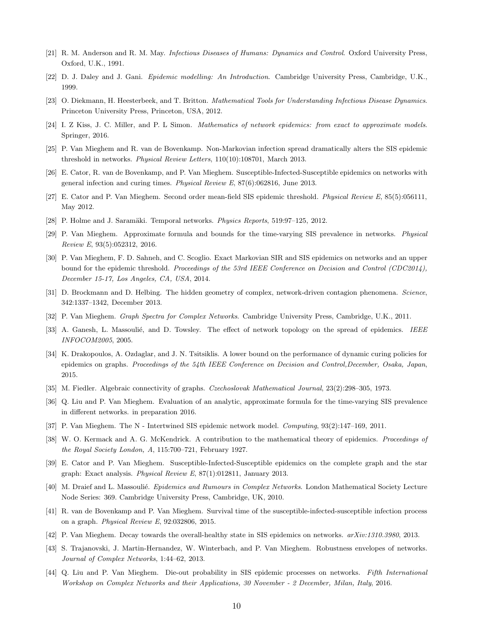- <span id="page-9-1"></span><span id="page-9-0"></span>[21] R. M. Anderson and R. M. May. *Infectious Diseases of Humans: Dynamics and Control*. Oxford University Press, Oxford, U.K., 1991.
- <span id="page-9-2"></span>[22] D. J. Daley and J. Gani. *Epidemic modelling: An Introduction*. Cambridge University Press, Cambridge, U.K., 1999.
- <span id="page-9-3"></span>[23] O. Diekmann, H. Heesterbeek, and T. Britton. *Mathematical Tools for Understanding Infectious Disease Dynamics*. Princeton University Press, Princeton, USA, 2012.
- <span id="page-9-4"></span>[24] I. Z Kiss, J. C. Miller, and P. L Simon. *Mathematics of network epidemics: from exact to approximate models*. Springer, 2016.
- <span id="page-9-5"></span>[25] P. Van Mieghem and R. van de Bovenkamp. Non-Markovian infection spread dramatically alters the SIS epidemic threshold in networks. *Physical Review Letters*, 110(10):108701, March 2013.
- <span id="page-9-6"></span>[26] E. Cator, R. van de Bovenkamp, and P. Van Mieghem. Susceptible-Infected-Susceptible epidemics on networks with general infection and curing times. *Physical Review E*, 87(6):062816, June 2013.
- <span id="page-9-7"></span>[27] E. Cator and P. Van Mieghem. Second order mean-field SIS epidemic threshold. *Physical Review E*, 85(5):056111, May 2012.
- <span id="page-9-8"></span>[28] P. Holme and J. Saramäki. Temporal networks. *Physics Reports*, 519:97–125, 2012.
- <span id="page-9-9"></span>[29] P. Van Mieghem. Approximate formula and bounds for the time-varying SIS prevalence in networks. *Physical Review E*, 93(5):052312, 2016.
- [30] P. Van Mieghem, F. D. Sahneh, and C. Scoglio. Exact Markovian SIR and SIS epidemics on networks and an upper bound for the epidemic threshold. *Proceedings of the 53rd IEEE Conference on Decision and Control (CDC2014), December 15-17, Los Angeles, CA, USA*, 2014.
- <span id="page-9-11"></span><span id="page-9-10"></span>[31] D. Brockmann and D. Helbing. The hidden geometry of complex, network-driven contagion phenomena. *Science*, 342:1337–1342, December 2013.
- <span id="page-9-12"></span>[32] P. Van Mieghem. *Graph Spectra for Complex Networks*. Cambridge University Press, Cambridge, U.K., 2011.
- <span id="page-9-13"></span>[33] A. Ganesh, L. Massoulié, and D. Towsley. The effect of network topology on the spread of epidemics. *IEEE INFOCOM2005*, 2005.
- [34] K. Drakopoulos, A. Ozdaglar, and J. N. Tsitsiklis. A lower bound on the performance of dynamic curing policies for epidemics on graphs. *Proceedings of the 54th IEEE Conference on Decision and Control,December, Osaka, Japan*, 2015.
- <span id="page-9-15"></span><span id="page-9-14"></span>[35] M. Fiedler. Algebraic connectivity of graphs. *Czechoslovak Mathematical Journal*, 23(2):298–305, 1973.
- <span id="page-9-16"></span>[36] Q. Liu and P. Van Mieghem. Evaluation of an analytic, approximate formula for the time-varying SIS prevalence in different networks. in preparation 2016.
- <span id="page-9-17"></span>[37] P. Van Mieghem. The N - Intertwined SIS epidemic network model. *Computing*, 93(2):147–169, 2011.
- <span id="page-9-18"></span>[38] W. O. Kermack and A. G. McKendrick. A contribution to the mathematical theory of epidemics. *Proceedings of the Royal Society London, A*, 115:700–721, February 1927.
- <span id="page-9-19"></span>[39] E. Cator and P. Van Mieghem. Susceptible-Infected-Susceptible epidemics on the complete graph and the star graph: Exact analysis. *Physical Review E*, 87(1):012811, January 2013.
- <span id="page-9-20"></span>[40] M. Draief and L. Massoulié. *Epidemics and Rumours in Complex Networks*. London Mathematical Society Lecture Node Series: 369. Cambridge University Press, Cambridge, UK, 2010.
- <span id="page-9-21"></span>[41] R. van de Bovenkamp and P. Van Mieghem. Survival time of the susceptible-infected-susceptible infection process on a graph. *Physical Review E*, 92:032806, 2015.
- <span id="page-9-22"></span>[42] P. Van Mieghem. Decay towards the overall-healthy state in SIS epidemics on networks. *arXiv:1310.3980*, 2013.
- <span id="page-9-23"></span>[43] S. Trajanovski, J. Martin-Hernandez, W. Winterbach, and P. Van Mieghem. Robustness envelopes of networks. *Journal of Complex Networks*, 1:44–62, 2013.
- [44] Q. Liu and P. Van Mieghem. Die-out probability in SIS epidemic processes on networks. *Fifth International Workshop on Complex Networks and their Applications, 30 November - 2 December, Milan, Italy*, 2016.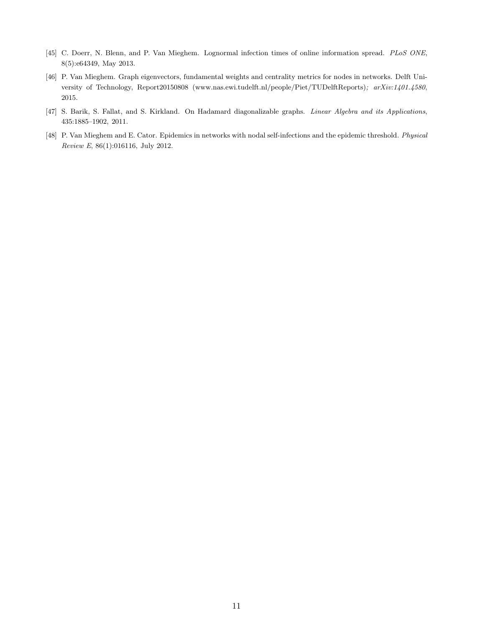- <span id="page-10-1"></span><span id="page-10-0"></span>[45] C. Doerr, N. Blenn, and P. Van Mieghem. Lognormal infection times of online information spread. *PLoS ONE*, 8(5):e64349, May 2013.
- [46] P. Van Mieghem. Graph eigenvectors, fundamental weights and centrality metrics for nodes in networks. Delft University of Technology, Report20150808 (www.nas.ewi.tudelft.nl/people/Piet/TUDelftReports)*; arXiv:1401.4580*, 2015.
- <span id="page-10-3"></span><span id="page-10-2"></span>[47] S. Barik, S. Fallat, and S. Kirkland. On Hadamard diagonalizable graphs. *Linear Algebra and its Applications*, 435:1885–1902, 2011.
- [48] P. Van Mieghem and E. Cator. Epidemics in networks with nodal self-infections and the epidemic threshold. *Physical Review E*, 86(1):016116, July 2012.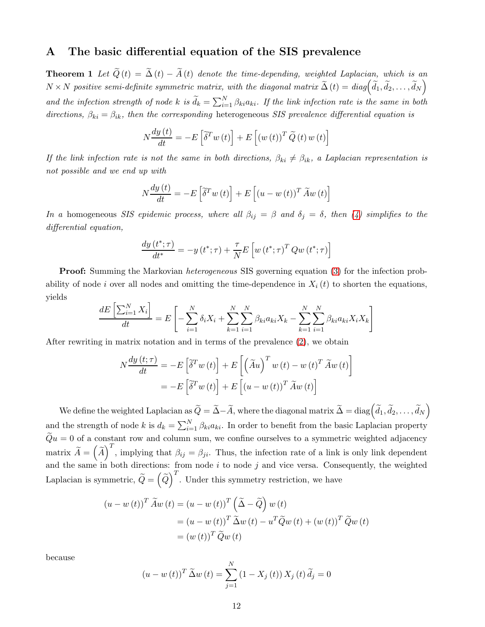### <span id="page-11-1"></span><span id="page-11-0"></span>A The basic differential equation of the SIS prevalence

**Theorem 1** Let  $\widetilde{Q}(t) = \widetilde{\Delta}(t) - \widetilde{A}(t)$  denote the time-depending, weighted Laplacian, which is an  $N \times N$  positive semi-definite symmetric matrix, with the diagonal matrix  $\widetilde{\Delta}(t) = diag(\widetilde{d}_1, \widetilde{d}_2, \ldots, \widetilde{d}_N)$ and the infection strength of node k is  $\tilde{d}_k = \sum_{i=1}^N \beta_{ki} a_{ki}$ . If the link infection rate is the same in both directions,  $\beta_{ki} = \beta_{ik}$ , then the corresponding heterogeneous SIS prevalence differential equation is

$$
N\frac{dy(t)}{dt} = -E\left[\tilde{\delta}^T w(t)\right] + E\left[(w(t))^T \tilde{Q}(t) w(t)\right]
$$

If the link infection rate is not the same in both directions,  $\beta_{ki} \neq \beta_{ik}$ , a Laplacian representation is not possible and we end up with

$$
N\frac{dy(t)}{dt} = -E\left[\tilde{\delta}^T w(t)\right] + E\left[(u - w(t))^T \tilde{A}w(t)\right]
$$

In a homogeneous SIS epidemic process, where all  $\beta_{ij} = \beta$  and  $\delta_j = \delta$ , then [\(4\)](#page-1-1) simplifies to the differential equation,

$$
\frac{dy(t^*; \tau)}{dt^*} = -y(t^*; \tau) + \frac{\tau}{N} E\left[w(t^*; \tau)^T Q w(t^*; \tau)\right]
$$

**Proof:** Summing the Markovian *heterogeneous* SIS governing equation [\(3\)](#page-1-0) for the infection probability of node i over all nodes and omitting the time-dependence in  $X_i(t)$  to shorten the equations, yields

$$
\frac{dE\left[\sum_{i=1}^{N} X_i\right]}{dt} = E\left[-\sum_{i=1}^{N} \delta_i X_i + \sum_{k=1}^{N} \sum_{i=1}^{N} \beta_{ki} a_{ki} X_k - \sum_{k=1}^{N} \sum_{i=1}^{N} \beta_{ki} a_{ki} X_i X_k\right]
$$

After rewriting in matrix notation and in terms of the prevalence [\(2\)](#page-1-2), we obtain

$$
N\frac{dy(t;\tau)}{dt} = -E\left[\tilde{\delta}^T w(t)\right] + E\left[\left(\tilde{A}u\right)^T w(t) - w(t)^T \tilde{A}w(t)\right]
$$

$$
= -E\left[\tilde{\delta}^T w(t)\right] + E\left[(u - w(t))^T \tilde{A}w(t)\right]
$$

We define the weighted Laplacian as  $\widetilde{Q}=\widetilde{\Delta}-\widetilde{A},$  where the diagonal matrix  $\widetilde{\Delta}=\mathrm{diag}\Big(\widetilde{d}_1,\widetilde{d}_2,\ldots,\widetilde{d}_N\Big)$ and the strength of node k is  $d_k = \sum_{i=1}^{N} \beta_{ki} a_{ki}$ . In order to benefit from the basic Laplacian property  $\widetilde{Q}u=0$  of a constant row and column sum, we confine ourselves to a symmetric weighted adjacency matrix  $\widetilde{A} = (\widetilde{A})^T$ , implying that  $\beta_{ij} = \beta_{ji}$ . Thus, the infection rate of a link is only link dependent and the same in both directions: from node  $i$  to node  $j$  and vice versa. Consequently, the weighted Laplacian is symmetric,  $\tilde{Q} = \left(\tilde{Q}\right)^T$ . Under this symmetry restriction, we have

$$
(u - w(t))^{T} \widetilde{A}w(t) = (u - w(t))^{T} \left(\widetilde{\Delta} - \widetilde{Q}\right) w(t)
$$
  

$$
= (u - w(t))^{T} \widetilde{\Delta}w(t) - u^{T} \widetilde{Q}w(t) + (w(t))^{T} \widetilde{Q}w(t)
$$
  

$$
= (w(t))^{T} \widetilde{Q}w(t)
$$

because

$$
(u - w(t))^{T} \widetilde{\Delta} w(t) = \sum_{j=1}^{N} (1 - X_{j}(t)) X_{j}(t) \widetilde{d}_{j} = 0
$$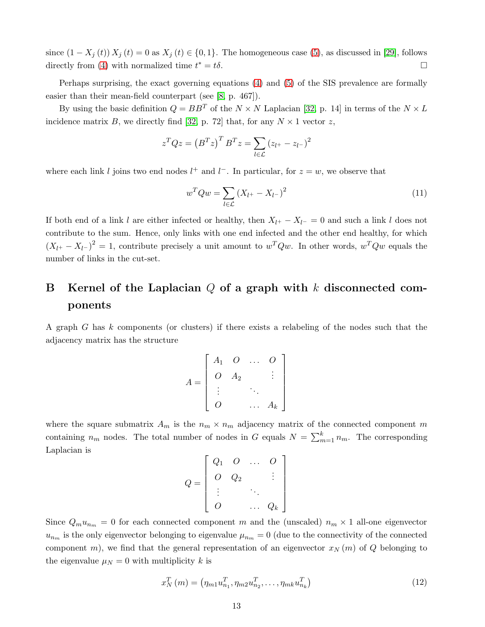since  $(1 - X_i(t)) X_i(t) = 0$  as  $X_i(t) \in \{0, 1\}$ . The homogeneous case [\(5\)](#page-2-0), as discussed in [\[29\]](#page-9-8), follows directly from [\(4\)](#page-1-1) with normalized time  $t^* = t\delta$ .  $* = t\delta.$ 

Perhaps surprising, the exact governing equations [\(4\)](#page-1-1) and [\(5\)](#page-2-0) of the SIS prevalence are formally easier than their mean-field counterpart (see [\[8,](#page-8-7) p. 467]).

By using the basic definition  $Q = BB^T$  of the  $N \times N$  Laplacian [\[32,](#page-9-11) p. 14] in terms of the  $N \times L$ incidence matrix B, we directly find [\[32,](#page-9-11) p. 72] that, for any  $N \times 1$  vector z,

$$
z^T Q z = \left(B^T z\right)^T B^T z = \sum_{l \in \mathcal{L}} \left(z_{l+} - z_{l-}\right)^2
$$

where each link l joins two end nodes  $l^+$  and  $l^-$ . In particular, for  $z = w$ , we observe that

<span id="page-12-2"></span>
$$
w^T Q w = \sum_{l \in \mathcal{L}} (X_{l^+} - X_{l^-})^2
$$
\n(11)

If both end of a link l are either infected or healthy, then  $X_{l^+} - X_{l^-} = 0$  and such a link l does not contribute to the sum. Hence, only links with one end infected and the other end healthy, for which  $(X_{l}+ - X_{l}-)^2 = 1$ , contribute precisely a unit amount to  $w^T Q w$ . In other words,  $w^T Q w$  equals the number of links in the cut-set.

# <span id="page-12-0"></span>B Kernel of the Laplacian  $Q$  of a graph with k disconnected components

A graph G has k components (or clusters) if there exists a relabeling of the nodes such that the adjacency matrix has the structure

$$
A = \begin{bmatrix} A_1 & O & \dots & O \\ O & A_2 & & \vdots \\ \vdots & & \ddots & \\ O & & \dots & A_k \end{bmatrix}
$$

where the square submatrix  $A_m$  is the  $n_m \times n_m$  adjacency matrix of the connected component m containing  $n_m$  nodes. The total number of nodes in G equals  $N = \sum_{m=1}^{k} n_m$ . The corresponding Laplacian is

$$
Q = \begin{bmatrix} Q_1 & O & \dots & O \\ O & Q_2 & & \vdots \\ \vdots & & \ddots & \\ O & & \dots & Q_k \end{bmatrix}
$$

Since  $Q_m u_{n_m} = 0$  for each connected component m and the (unscaled)  $n_m \times 1$  all-one eigenvector  $u_{n_m}$  is the only eigenvector belonging to eigenvalue  $\mu_{n_m} = 0$  (due to the connectivity of the connected component m), we find that the general representation of an eigenvector  $x_N(m)$  of Q belonging to the eigenvalue  $\mu_N = 0$  with multiplicity k is

<span id="page-12-1"></span>
$$
x_N^T(m) = (\eta_{m1} u_{n_1}^T, \eta_{m2} u_{n_2}^T, \dots, \eta_{mk} u_{n_k}^T)
$$
\n(12)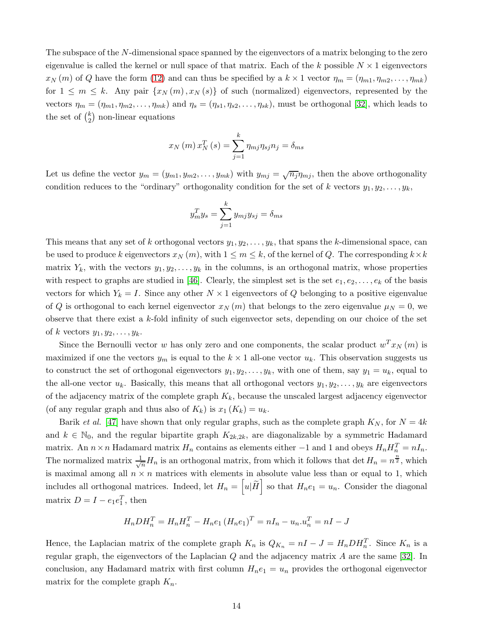The subspace of the N-dimensional space spanned by the eigenvectors of a matrix belonging to the zero eigenvalue is called the kernel or null space of that matrix. Each of the k possible  $N \times 1$  eigenvectors  $x_N(m)$  of Q have the form [\(12\)](#page-12-1) and can thus be specified by a  $k \times 1$  vector  $\eta_m = (\eta_{m1}, \eta_{m2}, \dots, \eta_{mk})$ for  $1 \leq m \leq k$ . Any pair  $\{x_N(m), x_N(s)\}\$  of such (normalized) eigenvectors, represented by the vectors  $\eta_m = (\eta_{m1}, \eta_{m2}, \dots, \eta_{mk})$  and  $\eta_s = (\eta_{s1}, \eta_{s2}, \dots, \eta_{sk})$ , must be orthogonal [\[32\]](#page-9-11), which leads to the set of  $\binom{k}{2}$  $_{2}^{k}$ ) non-linear equations

$$
x_N(m) x_N^T(s) = \sum_{j=1}^k \eta_{mj} \eta_{sj} n_j = \delta_{ms}
$$

Let us define the vector  $y_m = (y_{m1}, y_{m2}, \ldots, y_{mk})$  with  $y_{mj} = \sqrt{n_j} \eta_{mj}$ , then the above orthogonality condition reduces to the "ordinary" orthogonality condition for the set of k vectors  $y_1, y_2, \ldots, y_k$ ,

$$
y_m^T y_s = \sum_{j=1}^k y_{mj} y_{sj} = \delta_{ms}
$$

This means that any set of k orthogonal vectors  $y_1, y_2, \ldots, y_k$ , that spans the k-dimensional space, can be used to produce k eigenvectors  $x_N(m)$ , with  $1 \leq m \leq k$ , of the kernel of Q. The corresponding  $k \times k$ matrix  $Y_k$ , with the vectors  $y_1, y_2, \ldots, y_k$  in the columns, is an orthogonal matrix, whose properties with respect to graphs are studied in [\[46\]](#page-10-1). Clearly, the simplest set is the set  $e_1, e_2, \ldots, e_k$  of the basis vectors for which  $Y_k = I$ . Since any other  $N \times 1$  eigenvectors of Q belonging to a positive eigenvalue of Q is orthogonal to each kernel eigenvector  $x_N(m)$  that belongs to the zero eigenvalue  $\mu_N = 0$ , we observe that there exist a  $k$ -fold infinity of such eigenvector sets, depending on our choice of the set of k vectors  $y_1, y_2, \ldots, y_k$ .

Since the Bernoulli vector w has only zero and one components, the scalar product  $w^T x_N(m)$  is maximized if one the vectors  $y_m$  is equal to the  $k \times 1$  all-one vector  $u_k$ . This observation suggests us to construct the set of orthogonal eigenvectors  $y_1, y_2, \ldots, y_k$ , with one of them, say  $y_1 = u_k$ , equal to the all-one vector  $u_k$ . Basically, this means that all orthogonal vectors  $y_1, y_2, \ldots, y_k$  are eigenvectors of the adjacency matrix of the complete graph  $K_k$ , because the unscaled largest adjacency eigenvector (of any regular graph and thus also of  $K_k$ ) is  $x_1(K_k) = u_k$ .

Barik *et al.* [\[47\]](#page-10-2) have shown that only regular graphs, such as the complete graph  $K_N$ , for  $N = 4k$ and  $k \in \mathbb{N}_0$ , and the regular bipartite graph  $K_{2k,2k}$ , are diagonalizable by a symmetric Hadamard matrix. An  $n \times n$  Hadamard matrix  $H_n$  contains as elements either  $-1$  and 1 and obeys  $H_n H_n^T = nI_n$ . The normalized matrix  $\frac{1}{\sqrt{n}}H_n$  is an orthogonal matrix, from which it follows that det  $H_n = n^{\frac{n}{2}}$ , which is maximal among all  $n \times n$  matrices with elements in absolute value less than or equal to 1, which includes all orthogonal matrices. Indeed, let  $H_n = \left[ u \middle| \widetilde{H} \right]$  so that  $H_n e_1 = u_n$ . Consider the diagonal matrix  $D = I - e_1 e_1^T$ , then

$$
H_n D H_n^T = H_n H_n^T - H_n e_1 (H_n e_1)^T = n I_n - u_n u_n^T = n I - J
$$

Hence, the Laplacian matrix of the complete graph  $K_n$  is  $Q_{K_n} = nI - J = H_n D H_n^T$ . Since  $K_n$  is a regular graph, the eigenvectors of the Laplacian  $Q$  and the adjacency matrix  $A$  are the same [\[32\]](#page-9-11). In conclusion, any Hadamard matrix with first column  $H_n e_1 = u_n$  provides the orthogonal eigenvector matrix for the complete graph  $K_n$ .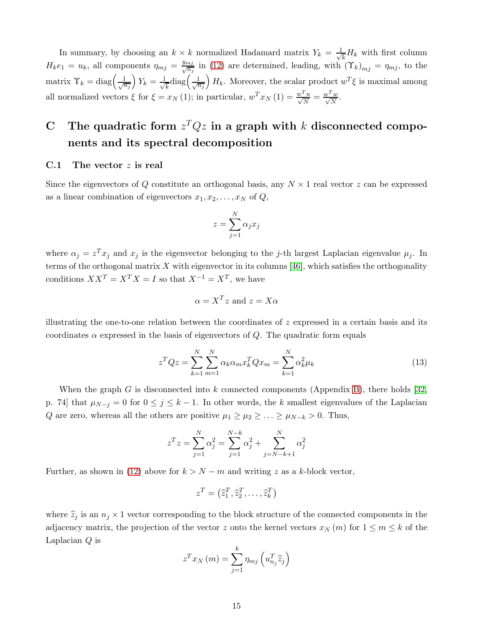In summary, by choosing an  $k \times k$  normalized Hadamard matrix  $Y_k = \frac{1}{\sqrt{k}}$  $\frac{1}{k}H_k$  with first column  $H_k e_1 = u_k$ , all components  $\eta_{mj} = \frac{y_{mj}}{\sqrt{n_j}}$  in [\(12\)](#page-12-1) are determined, leading, with  $(\Upsilon_k)_{mj} = \eta_{mj}$ , to the matrix  $\Upsilon_k = \text{diag}\left(\frac{1}{\sqrt{n_j}}\right)$  $Y_k = \frac{1}{\sqrt{2}}$  $\frac{1}{k}$ diag $\left(\frac{1}{\sqrt{n_j}}\right)$  $H_k$ . Moreover, the scalar product  $w^T \xi$  is maximal among all normalized vectors  $\xi$  for  $\xi = x_N(1)$ ; in particular,  $w^T x_N(1) = \frac{w^T w}{\sqrt{N}} = \frac{w^T w}{\sqrt{N}}$  $\frac{w}{N}$ .

# <span id="page-14-0"></span>C The quadratic form  $z^T Q z$  in a graph with k disconnected components and its spectral decomposition

#### C.1 The vector  $z$  is real

Since the eigenvectors of Q constitute an orthogonal basis, any  $N \times 1$  real vector z can be expressed as a linear combination of eigenvectors  $x_1, x_2, \ldots, x_N$  of  $Q$ ,

$$
z = \sum_{j=1}^N \alpha_j x_j
$$

where  $\alpha_j = z^T x_j$  and  $x_j$  is the eigenvector belonging to the j-th largest Laplacian eigenvalue  $\mu_j$ . In terms of the orthogonal matrix  $X$  with eigenvector in its columns [\[46\]](#page-10-1), which satisfies the orthogonality conditions  $XX^T = X^T X = I$  so that  $X^{-1} = X^T$ , we have

$$
\alpha = X^T z
$$
 and  $z = X\alpha$ 

illustrating the one-to-one relation between the coordinates of  $z$  expressed in a certain basis and its coordinates  $\alpha$  expressed in the basis of eigenvectors of Q. The quadratic form equals

<span id="page-14-1"></span>
$$
z^T Q z = \sum_{k=1}^{N} \sum_{m=1}^{N} \alpha_k \alpha_m x_k^T Q x_m = \sum_{k=1}^{N} \alpha_k^2 \mu_k
$$
\n(13)

When the graph G is disconnected into k connected components (Appendix [B\)](#page-12-0), there holds [\[32,](#page-9-11) p. 74] that  $\mu_{N-j} = 0$  for  $0 \leq j \leq k-1$ . In other words, the k smallest eigenvalues of the Laplacian Q are zero, whereas all the others are positive  $\mu_1 \geq \mu_2 \geq \ldots \geq \mu_{N-k} > 0$ . Thus,

$$
z^{T}z = \sum_{j=1}^{N} \alpha_{j}^{2} = \sum_{j=1}^{N-k} \alpha_{j}^{2} + \sum_{j=N-k+1}^{N} \alpha_{j}^{2}
$$

Further, as shown in [\(12\)](#page-12-1) above for  $k > N - m$  and writing z as a k-block vector,

$$
z^T = \left(\widehat{z}_1^T, \widehat{z}_2^T, \ldots, \widehat{z}_k^T\right)
$$

where  $\hat{z}_j$  is an  $n_j \times 1$  vector corresponding to the block structure of the connected components in the adjacency matrix, the projection of the vector z onto the kernel vectors  $x_N(m)$  for  $1 \leq m \leq k$  of the Laplacian Q is

$$
z^{T} x_{N}(m) = \sum_{j=1}^{k} \eta_{mj} \left( u_{n_{j}}^{T} \widehat{z}_{j} \right)
$$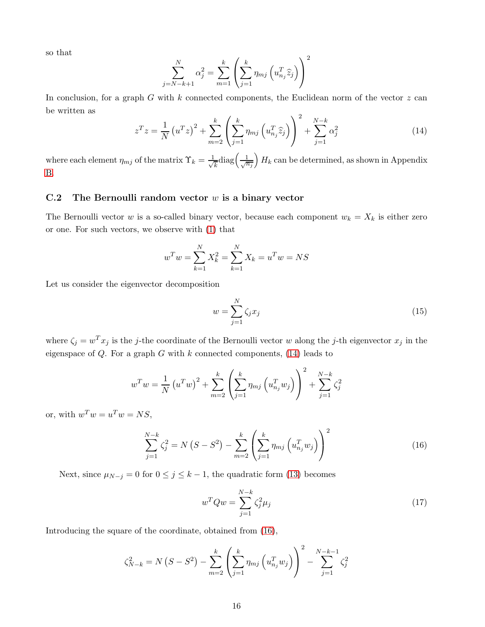so that

$$
\sum_{j=N-k+1}^{N} \alpha_j^2 = \sum_{m=1}^{k} \left( \sum_{j=1}^{k} \eta_{mj} \left( u_{nj}^T \hat{z}_j \right) \right)^2
$$

In conclusion, for a graph G with k connected components, the Euclidean norm of the vector  $z$  can be written as  $\overline{2}$ 

<span id="page-15-0"></span>
$$
z^{T}z = \frac{1}{N} (u^{T}z)^{2} + \sum_{m=2}^{k} \left( \sum_{j=1}^{k} \eta_{mj} \left( u_{nj}^{T} \hat{z}_{j} \right) \right)^{2} + \sum_{j=1}^{N-k} \alpha_{j}^{2}
$$
(14)

where each element  $\eta_{mj}$  of the matrix  $\Upsilon_k = \frac{1}{\sqrt{k}}$  $\frac{1}{k}$ diag $\left(\frac{1}{\sqrt{n_j}}\right)$  $H_k$  can be determined, as shown in Appendix [B.](#page-12-0)

### C.2 The Bernoulli random vector  $w$  is a binary vector

The Bernoulli vector w is a so-called binary vector, because each component  $w_k = X_k$  is either zero or one. For such vectors, we observe with [\(1\)](#page-1-3) that

$$
w^T w = \sum_{k=1}^{N} X_k^2 = \sum_{k=1}^{N} X_k = u^T w = NS
$$

Let us consider the eigenvector decomposition

$$
w = \sum_{j=1}^{N} \zeta_j x_j \tag{15}
$$

where  $\zeta_j = w^T x_j$  is the j-the coordinate of the Bernoulli vector w along the j-th eigenvector  $x_j$  in the eigenspace of  $Q$ . For a graph  $G$  with  $k$  connected components, [\(14\)](#page-15-0) leads to

$$
w^{T}w = \frac{1}{N} (u^{T}w)^{2} + \sum_{m=2}^{k} \left( \sum_{j=1}^{k} \eta_{mj} (u_{n_{j}}^{T}w_{j}) \right)^{2} + \sum_{j=1}^{N-k} \zeta_{j}^{2}
$$

or, with  $w^T w = u^T w = NS$ ,

<span id="page-15-1"></span>
$$
\sum_{j=1}^{N-k} \zeta_j^2 = N(S - S^2) - \sum_{m=2}^{k} \left( \sum_{j=1}^{k} \eta_{mj} \left( u_{nj}^T w_j \right) \right)^2 \tag{16}
$$

Next, since  $\mu_{N-j} = 0$  for  $0 \le j \le k-1$ , the quadratic form [\(13\)](#page-14-1) becomes

<span id="page-15-2"></span>
$$
w^T Q w = \sum_{j=1}^{N-k} \zeta_j^2 \mu_j \tag{17}
$$

Introducing the square of the coordinate, obtained from [\(16\)](#page-15-1),

$$
\zeta_{N-k}^2 = N(S - S^2) - \sum_{m=2}^k \left( \sum_{j=1}^k \eta_{mj} \left( u_{n_j}^T w_j \right) \right)^2 - \sum_{j=1}^{N-k-1} \zeta_j^2
$$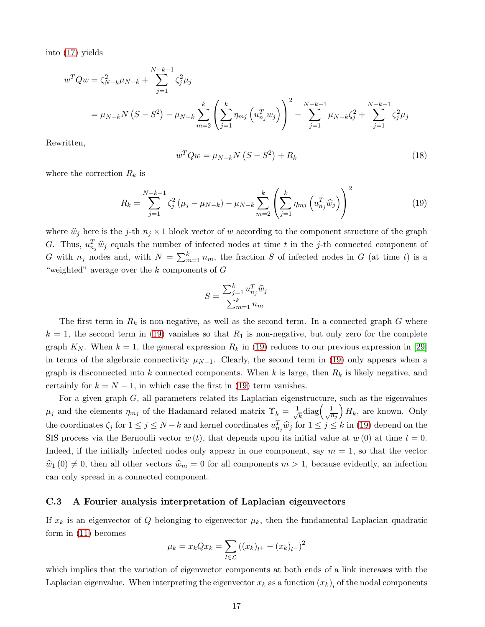into [\(17\)](#page-15-2) yields

$$
w^{T}Qw = \zeta_{N-k}^{2}\mu_{N-k} + \sum_{j=1}^{N-k-1} \zeta_{j}^{2}\mu_{j}
$$
  
=  $\mu_{N-k}N(S - S^{2}) - \mu_{N-k} \sum_{m=2}^{k} \left( \sum_{j=1}^{k} \eta_{mj} (u_{n_{j}}^{T}w_{j}) \right)^{2} - \sum_{j=1}^{N-k-1} \mu_{N-k} \zeta_{j}^{2} + \sum_{j=1}^{N-k-1} \zeta_{j}^{2}\mu_{j}$ 

Rewritten,

<span id="page-16-1"></span>
$$
w^T Q w = \mu_{N-k} N \left( S - S^2 \right) + R_k \tag{18}
$$

where the correction  $R_k$  is

<span id="page-16-0"></span>
$$
R_k = \sum_{j=1}^{N-k-1} \zeta_j^2 (\mu_j - \mu_{N-k}) - \mu_{N-k} \sum_{m=2}^k \left( \sum_{j=1}^k \eta_{mj} \left( u_{n_j}^T \hat{w}_j \right) \right)^2 \tag{19}
$$

where  $\hat{w}_j$  here is the j-th  $n_j \times 1$  block vector of w according to the component structure of the graph G. Thus,  $u_{n_j}^T \hat{w}_j$  equals the number of infected nodes at time t in the j-th connected component of G with  $n_j$  nodes and, with  $N = \sum_{m=1}^{k} n_m$ , the fraction S of infected nodes in G (at time t) is a "weighted" average over the  $k$  components of  $G$ 

$$
S = \frac{\sum_{j=1}^{k} u_{n_j}^T \widehat{w}_j}{\sum_{m=1}^{k} n_m}
$$

The first term in  $R_k$  is non-negative, as well as the second term. In a connected graph G where  $k = 1$ , the second term in [\(19\)](#page-16-0) vanishes so that  $R_1$  is non-negative, but only zero for the complete graph  $K_N$ . When  $k = 1$ , the general expression  $R_k$  in [\(19\)](#page-16-0) reduces to our previous expression in [\[29\]](#page-9-8) in terms of the algebraic connectivity  $\mu_{N-1}$ . Clearly, the second term in [\(19\)](#page-16-0) only appears when a graph is disconnected into k connected components. When k is large, then  $R_k$  is likely negative, and certainly for  $k = N - 1$ , in which case the first in [\(19\)](#page-16-0) term vanishes.

For a given graph G, all parameters related its Laplacian eigenstructure, such as the eigenvalues  $\mu_j$  and the elements  $\eta_{mj}$  of the Hadamard related matrix  $\Upsilon_k = \frac{1}{\sqrt{k}}$  $\frac{1}{k}$ diag $\left(\frac{1}{\sqrt{n_j}}\right)$  $H_k$ , are known. Only the coordinates  $\zeta_j$  for  $1 \leq j \leq N-k$  and kernel coordinates  $u_{n_j}^T \hat{w}_j$  for  $1 \leq j \leq k$  in [\(19\)](#page-16-0) depend on the SIS process via the Bernoulli vector  $w(t)$ , that depends upon its initial value at  $w(0)$  at time  $t = 0$ . Indeed, if the initially infected nodes only appear in one component, say  $m = 1$ , so that the vector  $\hat{w}_1 (0) \neq 0$ , then all other vectors  $\hat{w}_m = 0$  for all components  $m > 1$ , because evidently, an infection can only spread in a connected component.

#### C.3 A Fourier analysis interpretation of Laplacian eigenvectors

If  $x_k$  is an eigenvector of Q belonging to eigenvector  $\mu_k$ , then the fundamental Laplacian quadratic form in [\(11\)](#page-12-2) becomes

$$
\mu_k = x_k Q x_k = \sum_{l \in \mathcal{L}} ((x_k)_{l+} - (x_k)_{l-})^2
$$

which implies that the variation of eigenvector components at both ends of a link increases with the Laplacian eigenvalue. When interpreting the eigenvector  $x_k$  as a function  $(x_k)_i$  of the nodal components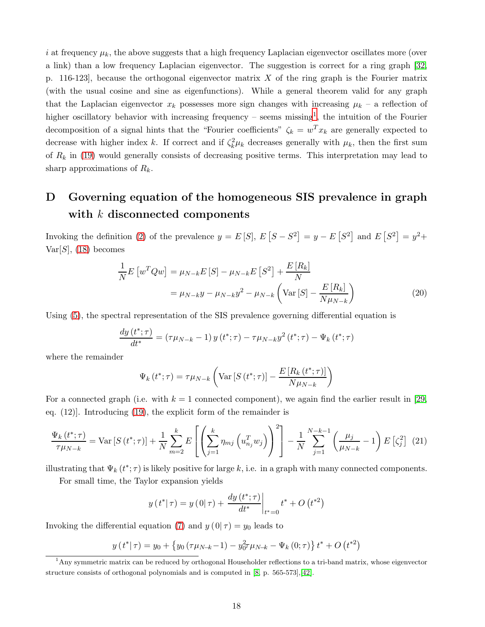i at frequency  $\mu_k$ , the above suggests that a high frequency Laplacian eigenvector oscillates more (over a link) than a low frequency Laplacian eigenvector. The suggestion is correct for a ring graph [\[32,](#page-9-11) p. 116-123, because the orthogonal eigenvector matrix X of the ring graph is the Fourier matrix (with the usual cosine and sine as eigenfunctions). While a general theorem valid for any graph that the Laplacian eigenvector  $x_k$  possesses more sign changes with increasing  $\mu_k$  – a reflection of higher oscillatory behavior with increasing frequency – seems missing<sup>[1](#page-17-2)</sup>, the intuition of the Fourier decomposition of a signal hints that the "Fourier coefficients"  $\zeta_k = w^T x_k$  are generally expected to decrease with higher index k. If correct and if  $\zeta_k^2 \mu_k$  decreases generally with  $\mu_k$ , then the first sum of  $R_k$  in [\(19\)](#page-16-0) would generally consists of decreasing positive terms. This interpretation may lead to sharp approximations of  $R_k$ .

# <span id="page-17-1"></span>D Governing equation of the homogeneous SIS prevalence in graph with  $k$  disconnected components

Invoking the definition [\(2\)](#page-1-2) of the prevalence  $y = E[S], E[S - S^2] = y - E[S^2]$  and  $E[S^2] = y^2 +$  $Var[S]$ , [\(18\)](#page-16-1) becomes

$$
\frac{1}{N}E\left[w^{T}Qw\right] = \mu_{N-k}E\left[S\right] - \mu_{N-k}E\left[S^{2}\right] + \frac{E\left[R_{k}\right]}{N}
$$
\n
$$
= \mu_{N-k}y - \mu_{N-k}y^{2} - \mu_{N-k}\left(\text{Var}\left[S\right] - \frac{E\left[R_{k}\right]}{N\mu_{N-k}}\right) \tag{20}
$$

Using [\(5\)](#page-2-0), the spectral representation of the SIS prevalence governing differential equation is

$$
\frac{dy(t^*; \tau)}{dt^*} = (\tau \mu_{N-k} - 1) y(t^*; \tau) - \tau \mu_{N-k} y^2(t^*; \tau) - \Psi_k(t^*; \tau)
$$

where the remainder

$$
\Psi_{k}(t^{*};\tau) = \tau \mu_{N-k} \left( \text{Var}\left[S\left(t^{*};\tau\right)\right] - \frac{E\left[R_{k}\left(t^{*};\tau\right)\right]}{N \mu_{N-k}} \right)
$$

For a connected graph (i.e. with  $k = 1$  connected component), we again find the earlier result in [\[29,](#page-9-8) eq. (12)]. Introducing [\(19\)](#page-16-0), the explicit form of the remainder is

<span id="page-17-0"></span>
$$
\frac{\Psi_{k}(t^{*};\tau)}{\tau\mu_{N-k}} = \text{Var}\left[S\left(t^{*};\tau\right)\right] + \frac{1}{N} \sum_{m=2}^{k} E\left[\left(\sum_{j=1}^{k} \eta_{mj}\left(u_{n_{j}}^{T} w_{j}\right)\right)^{2}\right] - \frac{1}{N} \sum_{j=1}^{N-k-1} \left(\frac{\mu_{j}}{\mu_{N-k}} - 1\right) E\left[\zeta_{j}^{2}\right] (21)
$$

illustrating that  $\Psi_k(t^*; \tau)$  is likely positive for large k, i.e. in a graph with many connected components.

For small time, the Taylor expansion yields

$$
y(t^*|\tau) = y(0|\tau) + \frac{dy(t^*;\tau)}{dt^*}\bigg|_{t^*=0}t^* + O(t^{*2})
$$

Invoking the differential equation [\(7\)](#page-4-0) and  $y(0|\tau) = y_0$  leads to

$$
y(t^*|\tau) = y_0 + \{y_0(\tau\mu_{N-k}-1) - y_0^2\tau\mu_{N-k} - \Psi_k(0;\tau)\}t^* + O(t^{*2})
$$

<span id="page-17-2"></span><sup>1</sup>Any symmetric matrix can be reduced by orthogonal Householder reflections to a tri-band matrix, whose eigenvector structure consists of orthogonal polynomials and is computed in [\[8,](#page-8-7) p. 565-573],[\[42\]](#page-9-21).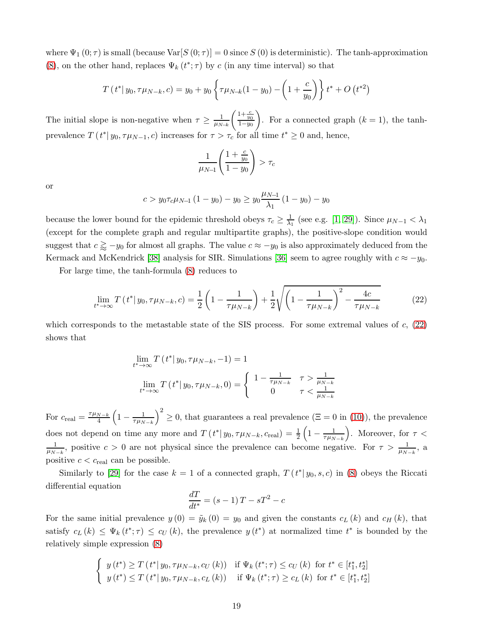where  $\Psi_1(0;\tau)$  is small (because  $Var[S(0;\tau)]=0$  since  $S(0)$  is deterministic). The tanh-approximation [\(8\)](#page-4-1), on the other hand, replaces  $\Psi_k(t^*; \tau)$  by c (in any time interval) so that

$$
T(t^* | y_0, \tau \mu_{N-k}, c) = y_0 + y_0 \left\{ \tau \mu_{N-k} (1 - y_0) - \left( 1 + \frac{c}{y_0} \right) \right\} t^* + O(t^{*2})
$$

The initial slope is non-negative when  $\tau \geq \frac{1}{\mu_{N-k}}$  $\Bigg( \frac{1+\frac{c}{y_0}}{1-y_0}$  $\overline{ }$ . For a connected graph  $(k = 1)$ , the tanhprevalence  $T(t^* | y_0, \tau \mu_{N-1}, c)$  increases for  $\tau > \tau_c$  for all time  $t^* \ge 0$  and, hence,

$$
\frac{1}{\mu_{N-1}} \left( \frac{1 + \frac{c}{y_0}}{1 - y_0} \right) > \tau_c
$$

or

$$
c > y_0 \tau_c \mu_{N-1} (1 - y_0) - y_0 \ge y_0 \frac{\mu_{N-1}}{\lambda_1} (1 - y_0) - y_0
$$

because the lower bound for the epidemic threshold obeys  $\tau_c \geq \frac{1}{\lambda_1}$  (see e.g. [\[1,](#page-8-0) [29\]](#page-9-8)). Since  $\mu_{N-1} < \lambda_1$ (except for the complete graph and regular multipartite graphs), the positive-slope condition would suggest that  $c \gtrsim -y_0$  for almost all graphs. The value  $c \approx -y_0$  is also approximately deduced from the Kermack and McKendrick [\[38\]](#page-9-17) analysis for SIR. Simulations [\[36\]](#page-9-15) seem to agree roughly with  $c \approx -y_0$ .

For large time, the tanh-formula [\(8\)](#page-4-1) reduces to

<span id="page-18-0"></span>
$$
\lim_{t^* \to \infty} T(t^* | y_0, \tau \mu_{N-k}, c) = \frac{1}{2} \left( 1 - \frac{1}{\tau \mu_{N-k}} \right) + \frac{1}{2} \sqrt{\left( 1 - \frac{1}{\tau \mu_{N-k}} \right)^2 - \frac{4c}{\tau \mu_{N-k}}} \tag{22}
$$

which corresponds to the metastable state of the SIS process. For some extremal values of  $c$ ,  $(22)$ shows that

$$
\lim_{t^* \to \infty} T(t^* | y_0, \tau \mu_{N-k}, -1) = 1
$$
  

$$
\lim_{t^* \to \infty} T(t^* | y_0, \tau \mu_{N-k}, 0) = \begin{cases} 1 - \frac{1}{\tau \mu_{N-k}} & \tau > \frac{1}{\mu_{N-k}} \\ 0 & \tau < \frac{1}{\mu_{N-k}} \end{cases}
$$

For  $c_{\text{real}} = \frac{\tau \mu_{N-k}}{4}$ 4  $\left(1-\frac{1}{\tau\mu_{N-k}}\right)$  $\left(\frac{2}{5}\right)^2 \geq 0$ , that guarantees a real prevalence  $(\Xi = 0 \text{ in } (10))$  $(\Xi = 0 \text{ in } (10))$  $(\Xi = 0 \text{ in } (10))$ , the prevalence does not depend on time any more and  $T(t^*|y_0, \tau \mu_{N-k}, c_{\text{real}}) = \frac{1}{2}$  $\left(1-\frac{1}{\tau\mu_{N-k}}\right)$ ). Moreover, for  $\tau$  <  $\frac{1}{\mu_{N-k}}$ , positive  $c > 0$  are not physical since the prevalence can become negative. For  $\tau > \frac{1}{\mu_{N-k}}$ , a positive  $c < c_{\text{real}}$  can be possible.

Similarly to [\[29\]](#page-9-8) for the case  $k = 1$  of a connected graph,  $T(t^* | y_0, s, c)$  in [\(8\)](#page-4-1) obeys the Riccati differential equation

$$
\frac{dT}{dt^*} = (s-1)T - sT^2 - c
$$

For the same initial prevalence  $y(0) = \tilde{y}_k(0) = y_0$  and given the constants  $c_k(k)$  and  $c_{H}(k)$ , that satisfy  $c_L(k) \leq \Psi_k(t^*; \tau) \leq c_U(k)$ , the prevalence  $y(t^*)$  at normalized time  $t^*$  is bounded by the relatively simple expression [\(8\)](#page-4-1)

$$
\begin{cases} y(t^*) \ge T(t^* | y_0, \tau \mu_{N-k}, c_U(k)) & \text{if } \Psi_k(t^*; \tau) \le c_U(k) \text{ for } t^* \in [t_1^*, t_2^*] \\ y(t^*) \le T(t^* | y_0, \tau \mu_{N-k}, c_U(k)) & \text{if } \Psi_k(t^*; \tau) \ge c_U(k) \text{ for } t^* \in [t_1^*, t_2^*] \end{cases}
$$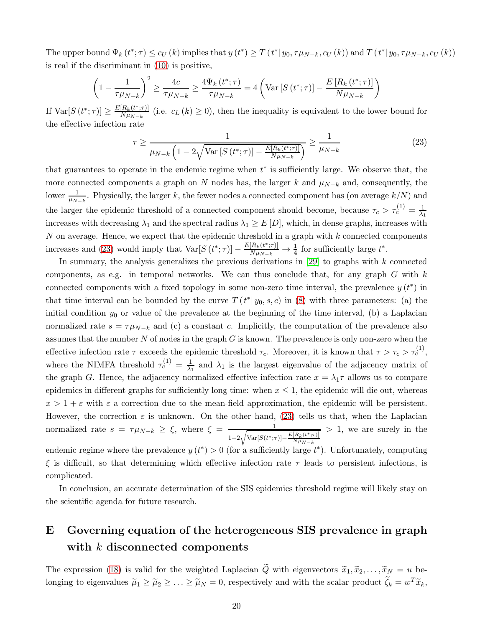The upper bound  $\Psi_k(t^*; \tau) \leq c_U(k)$  implies that  $y(t^*) \geq T(t^* | y_0, \tau \mu_{N-k}, c_U(k))$  and  $T(t^* | y_0, \tau \mu_{N-k}, c_U(k))$ is real if the discriminant in [\(10\)](#page-4-2) is positive,

$$
\left(1 - \frac{1}{\tau \mu_{N-k}}\right)^2 \ge \frac{4c}{\tau \mu_{N-k}} \ge \frac{4\Psi_k(t^*; \tau)}{\tau \mu_{N-k}} = 4\left(\text{Var}\left[S\left(t^*; \tau\right)\right] - \frac{E\left[R_k\left(t^*; \tau\right)\right]}{N\mu_{N-k}}\right)
$$

If  $\text{Var}[S(t^*; \tau)] \ge \frac{E[R_k(t^*; \tau)]}{N \mu_{N-k}}$  $\frac{[R_k(t^{\dagger};\tau)]}{N\mu_{N-k}}$  (i.e.  $c_L(k) \geq 0$ ), then the inequality is equivalent to the lower bound for the effective infection rate

<span id="page-19-1"></span>
$$
\tau \ge \frac{1}{\mu_{N-k} \left(1 - 2\sqrt{\text{Var}\left[S\left(t^*; \tau\right)\right] - \frac{E\left[R_k\left(t^*; \tau\right)\right]}{N\mu_{N-k}}}\right)} \ge \frac{1}{\mu_{N-k}}\tag{23}
$$

that guarantees to operate in the endemic regime when  $t^*$  is sufficiently large. We observe that, the more connected components a graph on N nodes has, the larger k and  $\mu_{N-k}$  and, consequently, the lower  $\frac{1}{\mu_{N-k}}$ . Physically, the larger k, the fewer nodes a connected component has (on average  $k/N$ ) and the larger the epidemic threshold of a connected component should become, because  $\tau_c > \tau_c^{(1)} = \frac{1}{\lambda_c}$  $\lambda_1$ increases with decreasing  $\lambda_1$  and the spectral radius  $\lambda_1 \geq E[D]$ , which, in dense graphs, increases with  $N$  on average. Hence, we expect that the epidemic threshold in a graph with  $k$  connected components increases and [\(23\)](#page-19-1) would imply that  $\text{Var}[S(t^*; \tau)] - \frac{E[R_k(t^*; \tau)]}{N\mu_{N-k}} \to \frac{1}{4}$  for sufficiently large  $t^*$ .

In summary, the analysis generalizes the previous derivations in  $[29]$  to graphs with k connected components, as e.g. in temporal networks. We can thus conclude that, for any graph  $G$  with  $k$ connected components with a fixed topology in some non-zero time interval, the prevalence  $y(t^*)$  in that time interval can be bounded by the curve  $T(t^* | y_0, s, c)$  in [\(8\)](#page-4-1) with three parameters: (a) the initial condition  $y_0$  or value of the prevalence at the beginning of the time interval, (b) a Laplacian normalized rate  $s = \tau \mu_{N-k}$  and (c) a constant c. Implicitly, the computation of the prevalence also assumes that the number  $N$  of nodes in the graph  $G$  is known. The prevalence is only non-zero when the effective infection rate  $\tau$  exceeds the epidemic threshold  $\tau_c$ . Moreover, it is known that  $\tau > \tau_c > \tau_c^{(1)}$ , where the NIMFA threshold  $\tau_c^{(1)} = \frac{1}{\lambda_1}$  and  $\lambda_1$  is the largest eigenvalue of the adjacency matrix of the graph G. Hence, the adjacency normalized effective infection rate  $x = \lambda_1 \tau$  allows us to compare epidemics in different graphs for sufficiently long time: when  $x \leq 1$ , the epidemic will die out, whereas  $x > 1 + \varepsilon$  with  $\varepsilon$  a correction due to the mean-field approximation, the epidemic will be persistent. However, the correction  $\varepsilon$  is unknown. On the other hand, [\(23\)](#page-19-1) tells us that, when the Laplacian normalized rate  $s = \tau \mu_{N-k} \geq \xi$ , where  $\xi = \frac{1}{\sqrt{N-1/2}}$  $1-2\sqrt{\text{Var}[S(t^*;\tau)]-\frac{E[R_k(t^*;\tau)]}{N\mu_{N-k}}}$  $N\mu_{N-k}$ > 1, we are surely in the endemic regime where the prevalence  $y(t^*) > 0$  (for a sufficiently large  $t^*$ ). Unfortunately, computing

ξ is difficult, so that determining which effective infection rate τ leads to persistent infections, is complicated.

In conclusion, an accurate determination of the SIS epidemics threshold regime will likely stay on the scientific agenda for future research.

# <span id="page-19-0"></span>E Governing equation of the heterogeneous SIS prevalence in graph with k disconnected components

The expression [\(18\)](#page-16-1) is valid for the weighted Laplacian  $\tilde{Q}$  with eigenvectors  $\tilde{x}_1, \tilde{x}_2, \ldots, \tilde{x}_N = u$  belonging to eigenvalues  $\tilde{\mu}_1 \ge \tilde{\mu}_2 \ge \ldots \ge \tilde{\mu}_N = 0$ , respectively and with the scalar product  $\tilde{\zeta}_k = w^T \tilde{x}_k$ ,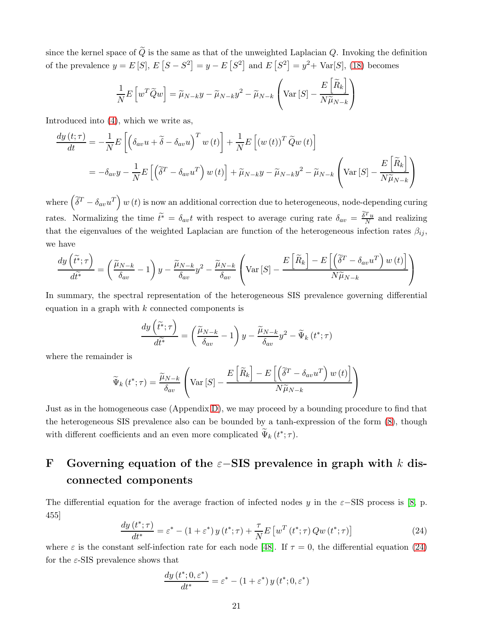since the kernel space of  $\tilde{Q}$  is the same as that of the unweighted Laplacian Q. Invoking the definition of the prevalence  $y = E[S], E[S - S^2] = y - E[S^2]$  and  $E[S^2] = y^2 + Var[S],$  [\(18\)](#page-16-1) becomes

$$
\frac{1}{N}E\left[w^T\widetilde{Q}w\right] = \widetilde{\mu}_{N-k}y - \widetilde{\mu}_{N-k}y^2 - \widetilde{\mu}_{N-k}\left(\text{Var}\left[S\right] - \frac{E\left[\widetilde{R}_k\right]}{N\widetilde{\mu}_{N-k}}\right)
$$

Introduced into [\(4\)](#page-1-1), which we write as,

$$
\frac{dy(t;\tau)}{dt} = -\frac{1}{N}E\left[\left(\delta_{av}u + \tilde{\delta} - \delta_{av}u\right)^T w(t)\right] + \frac{1}{N}E\left[(w(t))^T \tilde{Q}w(t)\right]
$$

$$
= -\delta_{av}y - \frac{1}{N}E\left[\left(\tilde{\delta}^T - \delta_{av}u^T\right)w(t)\right] + \tilde{\mu}_{N-k}y - \tilde{\mu}_{N-k}y^2 - \tilde{\mu}_{N-k}\left(\text{Var}\left[S\right] - \frac{E\left[\tilde{R}_k\right]}{N\tilde{\mu}_{N-k}}\right)
$$

where  $(\tilde{\delta}^T - \delta_{av}u^T) w(t)$  is now an additional correction due to heterogeneous, node-depending curing rates. Normalizing the time  $\tilde{t}^* = \delta_{av} t$  with respect to average curing rate  $\delta_{av} = \frac{\tilde{\delta}^T u}{N}$  and realizing that the eigenvalues of the weighted Laplacian are function of the heterogeneous infection rates  $\beta_{ij}$ , we have

$$
\frac{dy\left(\tilde{t}^*; \tau\right)}{d\tilde{t}^*} = \left(\frac{\tilde{\mu}_{N-k}}{\delta_{av}} - 1\right)y - \frac{\tilde{\mu}_{N-k}}{\delta_{av}}y^2 - \frac{\tilde{\mu}_{N-k}}{\delta_{av}}\left(\text{Var}\left[S\right] - \frac{E\left[\tilde{R}_k\right] - E\left[\left(\tilde{\delta}^T - \delta_{av}u^T\right)w\left(t\right)\right]}{N\tilde{\mu}_{N-k}}\right)
$$

In summary, the spectral representation of the heterogeneous SIS prevalence governing differential equation in a graph with  $k$  connected components is

$$
\frac{dy\left(\tilde{t}^*;\tau\right)}{d\tilde{t}^*} = \left(\frac{\tilde{\mu}_{N-k}}{\delta_{av}}-1\right)y - \frac{\tilde{\mu}_{N-k}}{\delta_{av}}y^2 - \tilde{\Psi}_k\left(t^*;\tau\right)
$$

where the remainder is

$$
\widetilde{\Psi}_{k}\left(t^{*};\tau\right) = \frac{\widetilde{\mu}_{N-k}}{\delta_{av}} \left( \text{Var}\left[S\right] - \frac{E\left[\widetilde{R}_{k}\right] - E\left[\left(\widetilde{\delta}^{T} - \delta_{av}u^{T}\right)w\left(t\right)\right]}{N\widetilde{\mu}_{N-k}} \right)
$$

Just as in the homogeneous case (Appendix [D\)](#page-17-1), we may proceed by a bounding procedure to find that the heterogeneous SIS prevalence also can be bounded by a tanh-expression of the form [\(8\)](#page-4-1), though with different coefficients and an even more complicated  $\Psi_k(t^*; \tau)$ .

# <span id="page-20-0"></span>F Governing equation of the  $\varepsilon$ -SIS prevalence in graph with k disconnected components

The differential equation for the average fraction of infected nodes y in the  $\varepsilon$ −SIS process is [\[8,](#page-8-7) p. 455]

<span id="page-20-1"></span>
$$
\frac{dy\left(t^*;\tau\right)}{dt^*} = \varepsilon^* - \left(1 + \varepsilon^*\right)y\left(t^*;\tau\right) + \frac{\tau}{N}E\left[w^T\left(t^*;\tau\right)Qw\left(t^*;\tau\right)\right] \tag{24}
$$

where  $\varepsilon$  is the constant self-infection rate for each node [\[48\]](#page-10-3). If  $\tau = 0$ , the differential equation [\(24\)](#page-20-1) for the  $\varepsilon$ -SIS prevalence shows that

$$
\frac{dy(t^*; 0, \varepsilon^*)}{dt^*} = \varepsilon^* - (1 + \varepsilon^*) y(t^*; 0, \varepsilon^*)
$$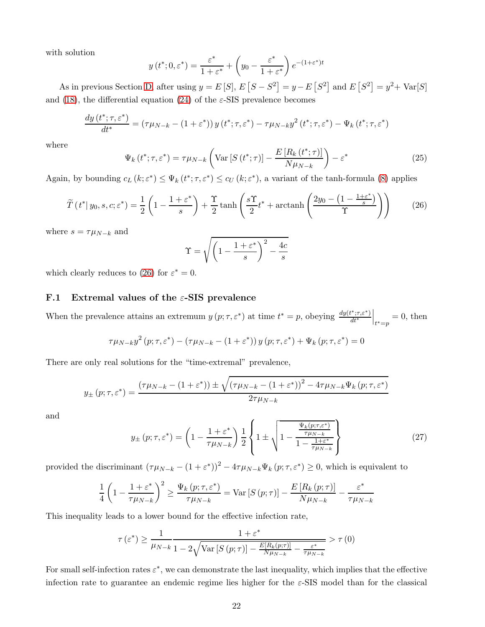with solution

$$
y(t^*; 0, \varepsilon^*) = \frac{\varepsilon^*}{1 + \varepsilon^*} + \left(y_0 - \frac{\varepsilon^*}{1 + \varepsilon^*}\right) e^{-(1 + \varepsilon^*)t}
$$

As in previous Section [D,](#page-17-1) after using  $y = E[S], E[S - S^2] = y - E[S^2]$  and  $E[S^2] = y^2 + Var[S]$ and [\(18\)](#page-16-1), the differential equation [\(24\)](#page-20-1) of the  $\varepsilon$ -SIS prevalence becomes

$$
\frac{dy(t^*; \tau, \varepsilon^*)}{dt^*} = (\tau \mu_{N-k} - (1 + \varepsilon^*)) y(t^*; \tau, \varepsilon^*) - \tau \mu_{N-k} y^2(t^*; \tau, \varepsilon^*) - \Psi_k(t^*; \tau, \varepsilon^*)
$$

where

<span id="page-21-2"></span>
$$
\Psi_{k}\left(t^{*};\tau,\varepsilon^{*}\right) = \tau\mu_{N-k}\left(\text{Var}\left[S\left(t^{*};\tau\right)\right] - \frac{E\left[R_{k}\left(t^{*};\tau\right)\right]}{N\mu_{N-k}}\right) - \varepsilon^{*} \tag{25}
$$

Again, by bounding  $c_L(k; \varepsilon^*) \leq \Psi_k(t^*; \tau, \varepsilon^*) \leq c_U(k; \varepsilon^*)$ , a variant of the tanh-formula [\(8\)](#page-4-1) applies

<span id="page-21-0"></span>
$$
\widetilde{T}(t^* | y_0, s, c; \varepsilon^*) = \frac{1}{2} \left( 1 - \frac{1 + \varepsilon^*}{s} \right) + \frac{\Upsilon}{2} \tanh\left( \frac{s\Upsilon}{2} t^* + \operatorname{arctanh}\left( \frac{2y_0 - \left(1 - \frac{1 + \varepsilon^*}{s}\right)}{\Upsilon} \right) \right) \tag{26}
$$

where  $s = \tau \mu_{N-k}$  and

$$
\Upsilon = \sqrt{\left(1 - \frac{1 + \varepsilon^*}{s}\right)^2 - \frac{4c}{s}}
$$

which clearly reduces to [\(26\)](#page-21-0) for  $\varepsilon^* = 0$ .

### F.1 Extremal values of the  $\varepsilon$ -SIS prevalence

When the prevalence attains an extremum  $y(p; \tau, \varepsilon^*)$  at time  $t^* = p$ , obeying  $\frac{dy(t^*, \tau, \varepsilon^*)}{dt^*}$  $\Big|_{t^*=p} = 0$ , then

$$
\tau \mu_{N-k} y^2 (p; \tau, \varepsilon^*) - (\tau \mu_{N-k} - (1 + \varepsilon^*)) y (p; \tau, \varepsilon^*) + \Psi_k (p; \tau, \varepsilon^*) = 0
$$

There are only real solutions for the "time-extremal" prevalence,

$$
y_{\pm} (p; \tau, \varepsilon^*) = \frac{(\tau \mu_{N-k} - (1 + \varepsilon^*)) \pm \sqrt{(\tau \mu_{N-k} - (1 + \varepsilon^*))^2 - 4\tau \mu_{N-k} \Psi_k (p; \tau, \varepsilon^*)}}{2\tau \mu_{N-k}}
$$

and

<span id="page-21-1"></span>
$$
y_{\pm}(p;\tau,\varepsilon^*) = \left(1 - \frac{1+\varepsilon^*}{\tau\mu_{N-k}}\right) \frac{1}{2} \left\{1 \pm \sqrt{1 - \frac{\frac{\Psi_k(p;\tau,\varepsilon^*)}{\tau\mu_{N-k}}}{1 - \frac{1+\varepsilon^*}{\tau\mu_{N-k}}}}\right\} \tag{27}
$$

provided the discriminant  $(\tau \mu_{N-k} - (1 + \varepsilon^*))^2 - 4\tau \mu_{N-k} \Psi_k(p; \tau, \varepsilon^*) \ge 0$ , which is equivalent to

$$
\frac{1}{4}\left(1-\frac{1+\varepsilon^*}{\tau\mu_{N-k}}\right)^2 \ge \frac{\Psi_k(p;\tau,\varepsilon^*)}{\tau\mu_{N-k}} = \text{Var}\left[S\left(p;\tau\right)\right] - \frac{E\left[R_k\left(p;\tau\right)\right]}{N\mu_{N-k}} - \frac{\varepsilon^*}{\tau\mu_{N-k}}
$$

This inequality leads to a lower bound for the effective infection rate,

$$
\tau\left(\varepsilon^{*}\right) \geq \frac{1}{\mu_{N-k}} \frac{1+\varepsilon^{*}}{1-2\sqrt{\text{Var}\left[S\left(p;\tau\right)\right]-\frac{E\left[R_{k}\left(p;\tau\right)\right]}{N\mu_{N-k}}-\frac{\varepsilon^{*}}{\tau\mu_{N-k}}}} > \tau\left(0\right)
$$

For small self-infection rates  $\varepsilon^*$ , we can demonstrate the last inequality, which implies that the effective infection rate to guarantee an endemic regime lies higher for the  $\varepsilon$ -SIS model than for the classical